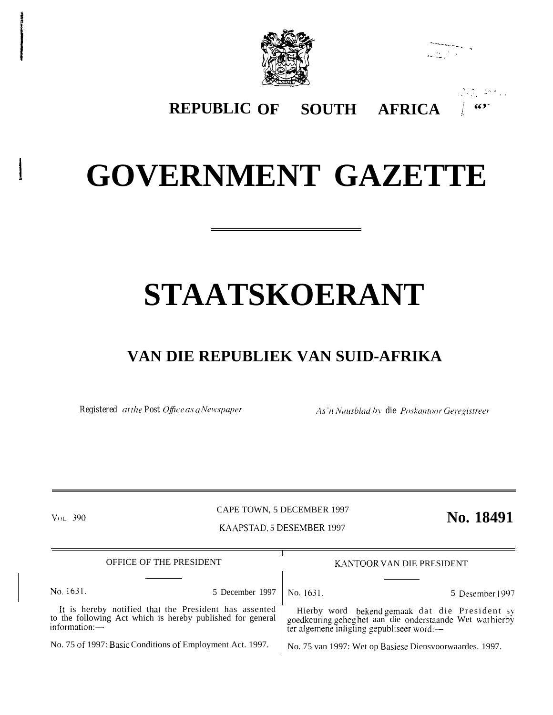



., ..., ., .,,,- '. .

**REPUBLIC SOUTH AFRICA** 

## **GOVERNMENT GAZETTE**

# **STAATSKOERANT**

## **VAN DIE REPUBLIEK VAN SUID-AFRIKA**

*Registered at the Post Office as a Newspaper As'n Nuusblad by die Poskantoor Geregistreer* 

**VOL. 390** 

CAPE TOWN, 5 DECEMBER 1997 KAAPSTAD. 5 DESEMBER 1997

**No. 18491**

| OFFICE OF THE PRESIDENT                                                                                                             |                 | KANTOOR VAN DIE PRESIDENT                               |                                                                                                                                                       |
|-------------------------------------------------------------------------------------------------------------------------------------|-----------------|---------------------------------------------------------|-------------------------------------------------------------------------------------------------------------------------------------------------------|
|                                                                                                                                     |                 |                                                         |                                                                                                                                                       |
| No. 1631.                                                                                                                           | 5 December 1997 | No. 1631                                                | 5 Desember 1997                                                                                                                                       |
| It is hereby notified that the President has assented<br>to the following Act which is hereby published for general<br>information: |                 |                                                         | Hierby word bekend gemaak dat die President sy goedkeuring geheg het aan die onderstaande Wet wat hierby<br>ter algemene inligting gepubliseer word:— |
| No. 75 of 1997: Basic Conditions of Employment Act. 1997.                                                                           |                 | No. 75 van 1997: Wet op Basiese Diensvoorwaardes. 1997. |                                                                                                                                                       |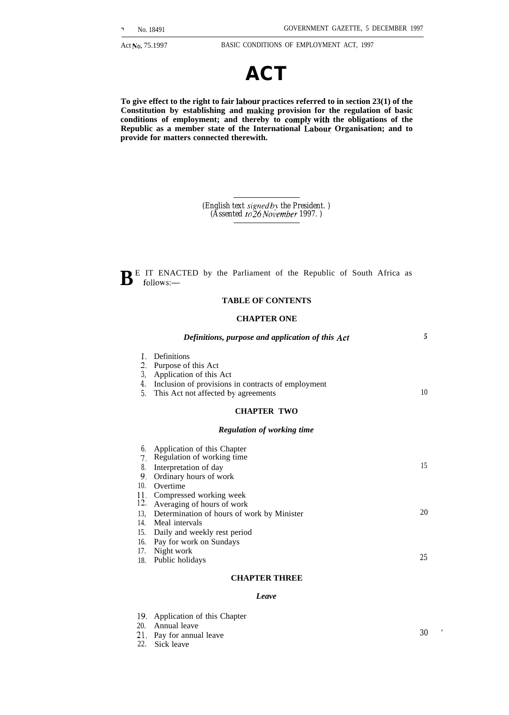

**To give effect to the right to fair labour practices referred to in section 23(1) of the Constitution by establishing and making provision for the regulation of basic conditions of employment; and thereby to** comply with **the obligations of the Republic as a member state of the International Labow Organisation; and to provide for matters connected therewith.**

> *(English text signed by the President.) (Assented to 26 No~'ember 1997. )*

 $\mathbf{B}^{\text{E}}$  IT ENACTED by the Parliament of the Republic of South Africa as follows: $$ follows:—

### **TABLE OF CONTENTS**

### **CHAPTER ONE**

|                            | Definitions, purpose and application of this Act                                                                                                           | 5  |
|----------------------------|------------------------------------------------------------------------------------------------------------------------------------------------------------|----|
| 1.<br>2.<br>3,<br>4.<br>5. | Definitions<br>Purpose of this Act<br>Application of this Act<br>Inclusion of provisions in contracts of employment<br>This Act not affected by agreements | 10 |
|                            | <b>CHAPTER TWO</b>                                                                                                                                         |    |
|                            | <b>Regulation of working time</b>                                                                                                                          |    |
| 6.<br>$7_{-}$              | Application of this Chapter<br>Regulation of working time                                                                                                  |    |
| 8.<br>9.                   | Interpretation of day<br>Ordinary hours of work                                                                                                            | 15 |
| 10.<br>11.                 | Overtime<br>Compressed working week                                                                                                                        |    |
| 12.<br>13.                 | Averaging of hours of work<br>Determination of hours of work by Minister                                                                                   | 20 |
| 14.                        | Meal intervals                                                                                                                                             |    |
| 15.<br>16.                 | Daily and weekly rest period<br>Pay for work on Sundays                                                                                                    |    |
| 17.<br>18.                 | Night work<br>Public holidays                                                                                                                              | 25 |

### **CHAPTER THREE**

### *Leave*

| 19. Application of this Chapter |    |  |
|---------------------------------|----|--|
| 20. Annual leave                |    |  |
| 21. Pay for annual leave        | 30 |  |
| $22$ $21$ $11$                  |    |  |

22. Sick leave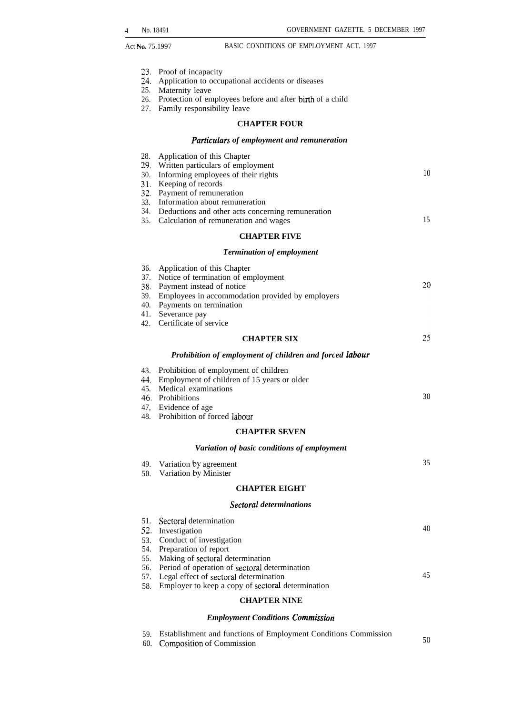- 23, Proof of incapacity
- 24. Application to occupational accidents or diseases
- 25. Maternity leave
- 26. Protection of employees before and after birth of a child
- 27. Family responsibility leave

### **CHAPTER FOUR**

### *Particulars of employment and remuneration*

| 28.        | Application of this Chapter                                                       |    |
|------------|-----------------------------------------------------------------------------------|----|
| 30.        | 29 Written particulars of employment<br>Informing employees of their rights       | 10 |
|            | 31 Keeping of records                                                             |    |
|            | 32. Payment of remuneration                                                       |    |
|            | 33. Information about remuneration                                                |    |
|            | 34. Deductions and other acts concerning remuneration                             |    |
|            | 35. Calculation of remuneration and wages                                         | 15 |
|            | <b>CHAPTER FIVE</b>                                                               |    |
|            | <b>Termination of employment</b>                                                  |    |
| 36.        | Application of this Chapter                                                       |    |
|            | 37. Notice of termination of employment                                           |    |
|            | 38 Payment instead of notice                                                      | 20 |
| 39.        | Employees in accommodation provided by employers                                  |    |
| 40.        | Payments on termination                                                           |    |
| 41.<br>42. | Severance pay<br>Certificate of service                                           |    |
|            |                                                                                   | 25 |
|            | <b>CHAPTER SIX</b>                                                                |    |
|            | Prohibition of employment of children and forced labour                           |    |
|            | 43. Prohibition of employment of children                                         |    |
|            | 44. Employment of children of 15 years or older                                   |    |
|            | 45. Medical examinations                                                          | 30 |
|            | 46. Prohibitions                                                                  |    |
|            | 47, Evidence of age<br>48. Prohibition of forced labour                           |    |
|            | <b>CHAPTER SEVEN</b>                                                              |    |
|            | Variation of basic conditions of employment                                       |    |
|            |                                                                                   |    |
|            | 49. Variation by agreement                                                        | 35 |
| 50.        | Variation by Minister                                                             |    |
|            | <b>CHAPTER EIGHT</b>                                                              |    |
|            | <b>Sectoral determinations</b>                                                    |    |
| 51.        | Sectoral determination                                                            |    |
| 52.        | Investigation                                                                     | 40 |
| 53.        | Conduct of investigation                                                          |    |
| 54.        | Preparation of report                                                             |    |
| 55.<br>56. | Making of sectoral determination<br>Period of operation of sectoral determination |    |
| 57.        | Legal effect of sectoral determination                                            | 45 |
| 58.        | Employer to keep a copy of sectoral determination                                 |    |
|            | <b>CHAPTER NINE</b>                                                               |    |
|            |                                                                                   |    |

### *Employment Conditions Commission*

| <b>Establishment and functions of Employment Conditions Commission</b> |    |
|------------------------------------------------------------------------|----|
| 60. Composition of Commission                                          | 50 |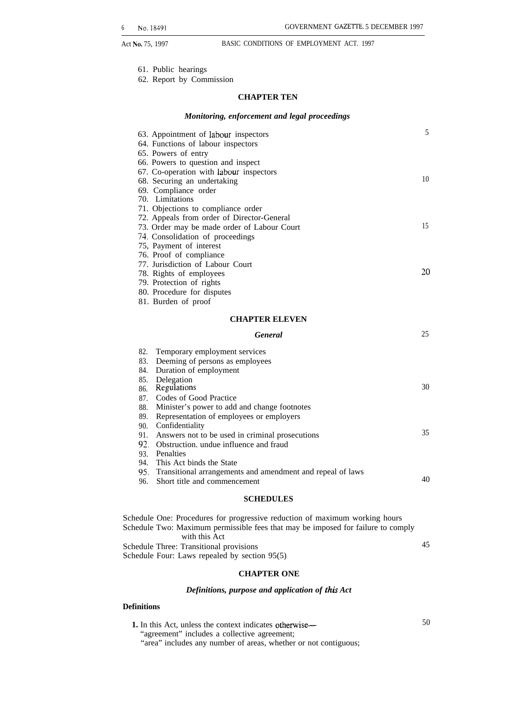- 61. Public hearings
- 62. Report by Commission

### **CHAPTER TEN**

### *Monitoring, enforcement and legal proceedings*

| 63. Appointment of labour inspectors                | 5  |
|-----------------------------------------------------|----|
| 64. Functions of labour inspectors                  |    |
| 65. Powers of entry                                 |    |
| 66. Powers to question and inspect                  |    |
| 67. Co-operation with labour inspectors             |    |
| 68. Securing an undertaking                         | 10 |
| 69. Compliance order                                |    |
| 70. Limitations                                     |    |
| 71. Objections to compliance order                  |    |
| 72. Appeals from order of Director-General          |    |
| 73. Order may be made order of Labour Court         | 15 |
| 74. Consolidation of proceedings                    |    |
| 75, Payment of interest                             |    |
| 76. Proof of compliance                             |    |
| 77. Jurisdiction of Labour Court                    |    |
| 78. Rights of employees                             | 20 |
| 79. Protection of rights                            |    |
| 80. Procedure for disputes                          |    |
| 81. Burden of proof                                 |    |
| <b>CHAPTER ELEVEN</b>                               |    |
| <b>General</b>                                      | 25 |
| 82.<br>Temporary employment services                |    |
| 83.<br>Deeming of persons as employees              |    |
| 84.<br>Duration of employment                       |    |
| Delegation<br>85.                                   |    |
| Regulations<br>86.                                  | 30 |
| Codes of Good Practice<br>87.                       |    |
| Minister's power to add and change footnotes<br>88. |    |
| 89.<br>Representation of employees or employers     |    |

- 90. Confidentiality
- 91. Answers not to be used in criminal prosecutions

35

40

92. Obstruction. undue influence and fraud

93. Penalties

94. This Act binds the State

95. Transitional arrangements and amendment and repeal of laws

96. Short title and commencement

### **SCHEDULES**

Schedule One: Procedures for progressive reduction of maximum working hours Schedule Two: Maximum permissible fees that may be imposed for failure to comply with this Act Schedule Three: Transitional provisions 45 Schedule Four: Laws repealed by section 95(5)

### **CHAPTER ONE**

### *Definitions, purpose and application of this Act*

### **Definitions**

| <b>1.</b> In this Act, unless the context indicates otherwise—  | 50 |
|-----------------------------------------------------------------|----|
| "agreement" includes a collective agreement;                    |    |
| "area" includes any number of areas, whether or not contiguous; |    |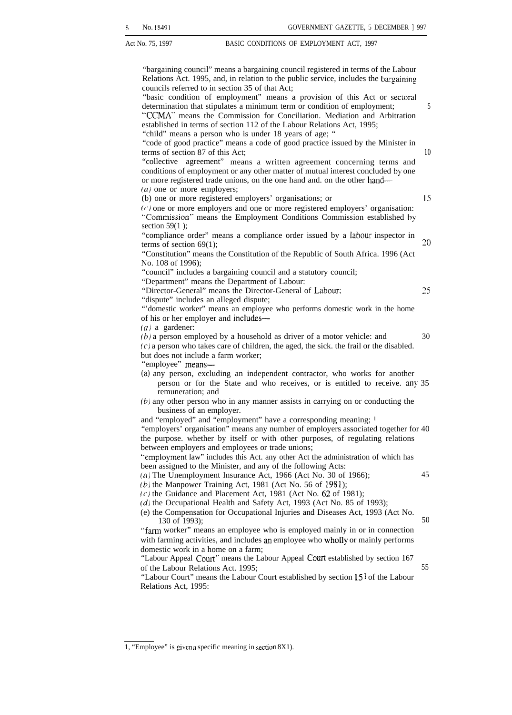<sup>x</sup> No. 18491 GOVERNMENT GAZETTE, 5 DECEMBER ] 997 Act No. 75, 1997 **BASIC CONDITIONS OF EMPLOYMENT ACT.** 1997 "bargaining council" means a bargaining council registered in terms of the Labour Relations Act. 1995, and, in relation to the public service, includes the bargaining councils referred to in section 35 of that Act; "basic condition of employment" means a provision of this Act or sectoral determination that stipulates a minimum term or condition of employment;  $\frac{5}{5}$ "CCMA' means the Commission for Conciliation. Mediation and Arbitration established in terms of section 112 of the Labour Relations Act, 1995; "child" means a person who is under 18 years of age; " "code of good practice" means a code of good practice issued by the Minister in terms of section 87 of this Act; *10* "collective agreement" means a written agreement concerning terms and conditions of employment or any other matter of mutual interest concluded by one or more registered trade unions, on the one hand and. on the other hand— (*a*) one or more employers; (b) one or more registered employers' organisations; or 15  $(c)$  one or more employers and one or more registered employers' organisation: '"Commission" means the Employment Conditions Commission established by section 59(1 ); "compliance order" means a compliance order issued by a Iabour inspector in terms of section 69(1);  $20$ "Constitution" means the Constitution of the Republic of South Africa. 1996 (Act No. 108 of 1996); "council" includes a bargaining council and a statutory council; "Department" means the Department of Labour: "Director-General" means the Director-General of Labour: 25 "dispute" includes an alleged dispute; "'domestic worker" means an employee who performs domestic work in the home of his or her employer and includes— (a) a gardener:  $(b)$  a person employed by a household as driver of a motor vehicle: and  $30$  $(c)$  a person who takes care of children, the aged, the sick. the frail or the disabled. but does not include a farm worker; "employee" means— *(a)* any person, excluding an independent contractor, who works for another person or for the State and who receives, or is entitled to receive. any 35 remuneration; and *(b)* any other person who in any manner assists in carrying on or conducting the business of an employer. and "employed" and "employment" have a corresponding meaning; 1 "employers' organisation" means any number of employers associated together for 40 the purpose. whether by itself or with other purposes, of regulating relations between employers and employees or trade unions; '"employment law" includes this Act. any other Act the administration of which has been assigned to the Minister, and any of the following Acts: *(a)* The Unemployment Insurance Act, 1966 (Act No. 30 of 1966); 45 *(b)* the Manpower Training Act, 1981 (Act No. 56 of 1981);  $(c)$  the Guidance and Placement Act, 1981 (Act No. 62 of 1981); (d) the Occupational Health and Safety Act, 1993 (Act No. 85 of 1993); (e) the Compensation for Occupational Injuries and Diseases Act, 1993 (Act No.  $130 \text{ of } 1993$ ; 50 "farm worker" means an employee who is employed mainly in or in connection with farming activities, and includes an employee who wholly or mainly performs domestic work in a home on a farm; "Labour Appeal Court" means the Labour Appeal Court established by section 167 of the Labour Relations Act. 1995; 55 "Labour Court" means the Labour Court established by section  $15<sup>1</sup>$  of the Labour Relations Act, 1995:

<sup>1, &</sup>quot;Employee" is given a specific meaning in section  $8X1$ ).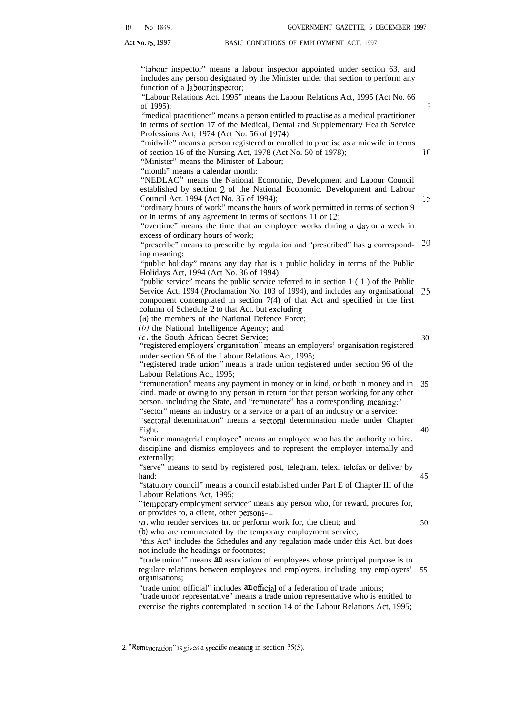"labour inspector" means a labour inspector appointed under section 63, and includes any person designated by the Minister under that section to perform any function of a labour inspector;

"Labour Relations Act. 1995" means the Labour Relations Act, 1995 (Act No. 66 of 1995);

"medical practitioner" means a person entitled to practise as a medical practitioner in terms of section 17 of the Medical, Dental and Supplementary Health Service Professions Act, 1974 (Act No. 56 of 1974):

"midwife" means a person registered or enrolled to practise as a midwife in terms of section 16 of the Nursing Act, 1978 (Act No. 50 of 1978);

"Minister" means the Minister of Labour;

"month" means a calendar month:

"NEDLAC" means the National Economic, Development and Labour Council established by section 2 of the National Economic. Development and Labour Council Act. 1994 (Act No. 35 of 1994);

"ordinary hours of work" means the hours of work permitted in terms of section 9 or in terms of any agreement in terms of sections 11 or 12:

"overtime" means the time that an employee works during a day or a week in excess of ordinary hours of work;

"prescribe" means to prescribe by regulation and "prescribed" has a corresponding meaning: Z()

"public holiday" means any day that is a public holiday in terms of the Public Holidays Act, 1994 (Act No. 36 of 1994);

"public service" means the public service referred to in section 1 (1) of the Public Service Act. 1994 (Proclamation No. 103 of 1994), and includes any organisational component contemplated in section 7(4) of that Act and specified in the first column of Schedule 2 to that Act. but excluding— 25

*(a)* the members of the National Defence Force;

(b) the National Intelligence Agency; and

(c) the South African Secret Service;

30

40

45

50

5

10

15

"registered employers' organisation" means an employers' organisation registered under section 96 of the Labour Relations Act, 1995;

"registered trade union" means a trade union registered under section 96 of the Labour Relations Act, 1995;

"remuneration" means any payment in money or in kind, or both in money and in 35 kind. made or owing to any person in return for that person working for any other person. including the State, and "remunerate" has a corresponding meaning; $<sup>2</sup>$ </sup> "sector" means an industry or a service or a part of an industry or a service:

"sectoral determination" means a sectoral determination made under Chapter Eight:

"senior managerial employee" means an employee who has the authority to hire. discipline and dismiss employees and to represent the employer internally and externally;

"serve" means to send by registered post, telegram, telex. telefax or deliver by hand:

"statutory council" means a council established under Part E of Chapter III of the Labour Relations Act, 1995;

'"temporary employment service" means any person who, for reward, procures for, or provides to, a client, other persons—

 $(a)$  who render services to, or perform work for, the client; and

*(b)* who are remunerated by the temporary employment service;

"this Act" includes the Schedules and any regulation made under this Act. but does not include the headings or footnotes;

"trade union" means an association of employees whose principal purpose is to regulate relations between employees and employers, including any employers' organisations; 55

"trade union official" includes an official of a federation of trade unions;

"trade union representative" means a trade union representative who is entitled to exercise the rights contemplated in section 14 of the Labour Relations Act, 1995;

<sup>2. &</sup>quot;Remuneration" is given a specific meaning in section  $35(5)$ ,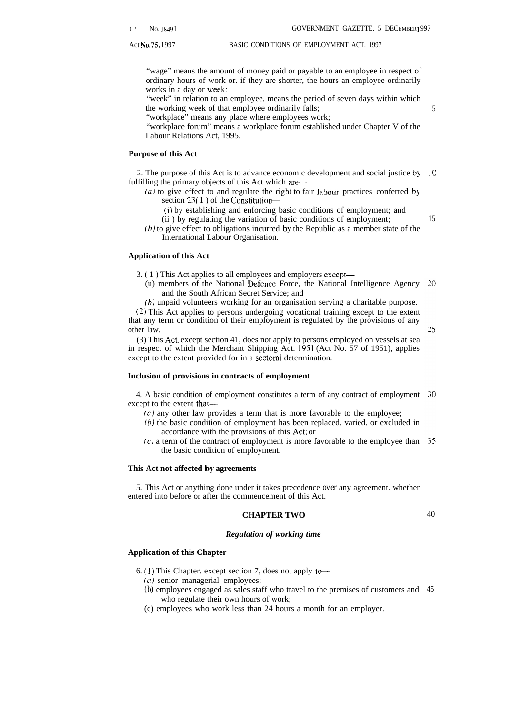"wage" means the amount of money paid or payable to an employee in respect of ordinary hours of work or. if they are shorter, the hours an employee ordinarily works in a day or week;

"week" in relation to an employee, means the period of seven days within which the working week of that employee ordinarily falls;

"workplace" means any place where employees work;

"workplace forum" means a workplace forum established under Chapter V of the Labour Relations Act, 1995.

### **Purpose of this Act**

2. The purpose of this Act is to advance economic development and social justice by 10 fulfilling the primary objects of this Act which are—

 $(a)$  to give effect to and regulate the right to fair labour practices conferred by section 23( 1 ) of the Constitution—

(i) by establishing and enforcing basic conditions of employment; and

(ii ) by regulating the variation of basic conditions of employment;

(b) to give effect to obligations incurred by the Republic as a member state of the International Labour Organisation.

### **Application of this Act**

3. ( 1 ) This Act applies to all employees and employers except—

(u) members of the National Defence Force, the National Intelligence Agency 20 and the South African Secret Service; and

(b) unpaid volunteers working for an organisation serving a charitable purpose.

(2) This Act applies to persons undergoing vocational training except to the extent that any term or condition of their employment is regulated by the provisions of any other law.

(3) This Act, except section 41, does not apply to persons employed on vessels at sea in respect of which the Merchant Shipping Act. 1951 (Act No. 57 of 1951), applies except to the extent provided for in a sectoral determination.

### **Inclusion of provisions in contracts of employment**

4. A basic condition of employment constitutes a term of any contract of employment except to the extent that—

- (a) any other law provides a term that is more favorable to the employee;
- (b) the basic condition of employment has been replaced. varied. or excluded in accordance with the provisions of this Act; or
- $(c)$  a term of the contract of employment is more favorable to the employee than  $35$ the basic condition of employment.

### **This Act not affected by agreements**

5. This Act or anything done under it takes precedence *over* any agreement. whether entered into before or after the commencement of this Act.

### **CHAPTER TWO**

40

### *Regulation of working time*

### **Application of this Chapter**

6. (1) This Chapter. except section 7, does not apply to-

- (a) senior managerial employees;
- *(b)* employees engaged as sales staff who travel to the premises of customers and 45who regulate their own hours of work;
- (c) employees who work less than 24 hours a month for an employer.

15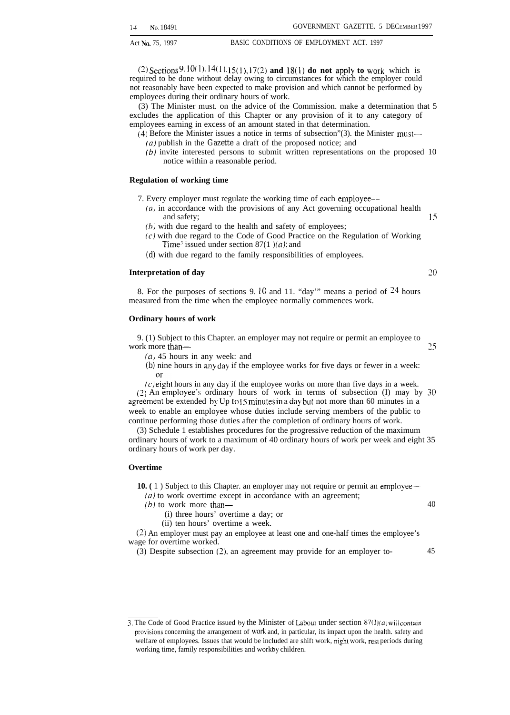**(~) Sections 9. lo~l ). 14( I). 15(1), 17(Z) and 18(1) do not apply to work** which is required to be done without delay owing to circumstances for which the employer could not reasonably have been expected to make provision and which cannot be performed by employees during their ordinary hours of work.

(3) The Minister must. on the advice of the Commission. make a determination that 5 excludes the application of this Chapter or any provision of it to any category of employees earning in excess of an amount stated in that determination.

- (4) Before the Minister issues a notice in terms of subsection"(3). the Minister must— *(a)* publish in the *Gazette* a draft of the proposed notice; and
	- (b) invite interested persons to submit written representations on the proposed 10 notice within a reasonable period.

### **Regulation of working time**

- 7. Every employer must regulate the working time of each employee—
	- $(a)$  in accordance with the provisions of any Act governing occupational health and safety; 15  $(b)$  with due regard to the health and safety of employees;
	- (c) with due regard to the Code of Good Practice on the Regulation of Working
	- Time<sup>3</sup> issued under section  $87(1)$  *(a)*; and
	- *(d)* with due regard to the family responsibilities of employees.

### **Interpretation of day** *20*

8. For the purposes of sections 9. 10 and 11. "day'" means a period of 24 hours measured from the time when the employee normally commences work.

### **Ordinary hours of work**

9. (1) Subject to this Chapter. an employer may not require or permit an employee to work more than—  $25$ 

*(a)* 45 hours in any week: and

*(b)* nine hours in any day if the employee works for five days or fewer in a week:

 $(c)$  eight hours in any day if the employee works on more than five days in a week. (2) An employee's ordinary hours of work in terms of subsection (I) may by 30 agreement be extended by Up to 15 minutes in a day but not more than 60 minutes in a week to enable an employee whose duties include serving members of the public to continue performing those duties after the completion of ordinary hours of work.

(3) Schedule 1 establishes procedures for the progressive reduction of the maximum ordinary hours of work to a maximum of 40 ordinary hours of work per week and eight 35 ordinary hours of work per day.

### **Overtime**

**10.** (1) Subject to this Chapter. an employer may not require or permit an employee—

 $(a)$  to work overtime except in accordance with an agreement;

- (b) to work more than— $\frac{40}{40}$ 
	- (i) three hours' overtime a day; or

(ii) ten hours' overtime a week.

(2) An employer must pay an employee at least one and one-half times the employee's wage for overtime worked.

(3) Despite subsection (2). an agreement may provide for an employer to- 45

<sup>3.</sup> The Code of Good Practice issued by the Minister of Labour under section  $87(1)(a)$  will contain provisions concerning the arrangement of work and, in particular, its impact upon the health. safety and welfare of employees. Issues that would be included are shift work, night work, rest periods during working time, family responsibilities and workby children.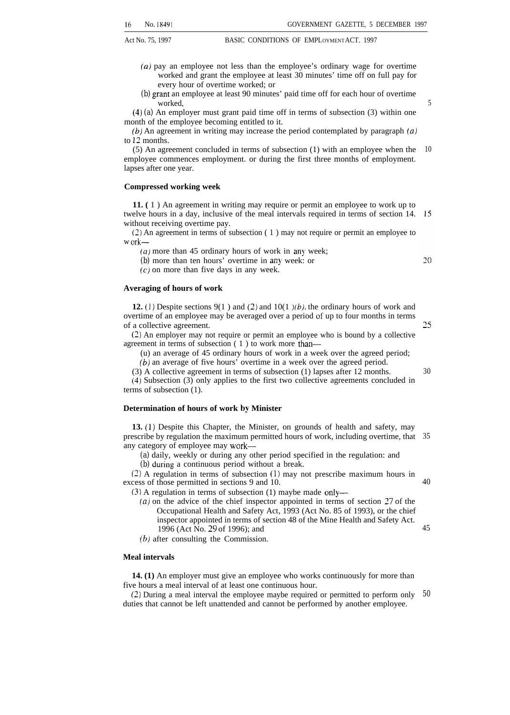- Act No. 75, 1997 BASIC CONDITIONS OF EMPLOYMENT ACT. 1997
	- *(a)* pay an employee not less than the employee's ordinary wage for overtime worked and grant the employee at least 30 minutes' time off on full pay for every hour of overtime worked; or
	- *(b)* grant an employee at least 90 minutes' paid time off for each hour of overtime worked,

(4) *(a)* An employer must grant paid time off in terms of subsection (3) within one month of the employee becoming entitled to it.

 $(b)$  An agreement in writing may increase the period contemplated by paragraph  $(a)$ to 12 months.

(5) An agreement concluded in terms of subsection (1) with an employee when the 10 employee commences employment. or during the first three months of employment. lapses after one year.

### **Compressed working week**

**11. (** 1 ) An agreement in writing may require or permit an employee to work up to twelve hours in a day, inclusive of the meal intervals required in terms of section 14. without receiving overtime pay.

(2) An agreement in terms of subsection ( 1 ) may not require or permit an employee to w ork—

 $(a)$  more than 45 ordinary hours of work in any week;

*(b)* more than ten hours' overtime in any week: or

 $(c)$  on more than five days in any week.

### **Averaging of hours of work**

**12.** (1) Despite sections 9(1) and (2) and  $10(1)$  (b), the ordinary hours of work and overtime of an employee may be averaged over a period of up to four months in terms of a collective agreement.

(2) An employer may not require or permit an employee who is bound by a collective agreement in terms of subsection ( 1 ) to work more than—

(u) an average of 45 ordinary hours of work in a week over the agreed period; *(b)* an average of five hours' overtime in a week over the agreed period.

(3) A collective agreement in terms of subsection (1) lapses after 12 months.

(4) Subsection (3) only applies to the first two collective agreements concluded in terms of subsection (1).

### **Determination of hours of work by Minister**

**13. (1)** Despite this Chapter, the Minister, on grounds of health and safety, may prescribe by regulation the maximum permitted hours of work, including overtime, that 35 any category of employee may work—

*(a)* daily, weekly or during any other period specified in the regulation: and

*(b)* during a continuous period without a break.

(2) A regulation in terms of subsection (1) may not prescribe maximum hours in excess of those permitted in sections 9 and 10.

(3) A regulation in terms of subsection (1) maybe made only—

- *(a)* on the advice of the chief inspector appointed in terms of section 27 of the Occupational Health and Safety Act, 1993 (Act No. 85 of 1993), or the chief inspector appointed in terms of section 48 of the Mine Health and Safety Act. 1996 (Act No. 29 of 1996); and 45
- *(b)* after consulting the Commission.

### **Meal intervals**

**14. (1)** An employer must give an employee who works continuously for more than five hours a meal interval of at least one continuous hour.

(2) During a meal interval the employee maybe required or permitted to perform only duties that cannot be left unattended and cannot be performed by another employee. *50*

20

25

30

40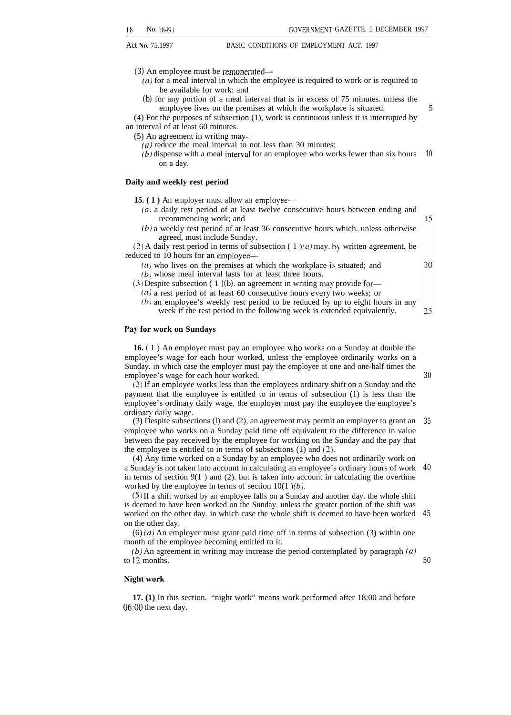*(3)* An employee must be remunerated—

- *(a)* for a meal interval in which the employee is required to work or is required to be available for work: and
- *(b)* for any portion of a meal interval that is in excess of 75 minutes. unless the employee lives on the premises at which the workplace is situated.

(4) For the purposes of subsection (1), work is continuous unless it is interrupted by an interval of at least 60 minutes.

(5) An agreement in writing may—

*(a)* reduce the meal interval to not less than 30 minutes;

 $(b)$  dispense with a meal interval for an employee who works fewer than six hours on a day. *10*

### **Daily and weekly rest period**

**15. (1)** An employer must allow an employee—

- *(a)* a daily rest period of at least twelve consecutive hours between ending and recommencing work; and
- $(b)$  a weekly rest period of at least 36 consecutive hours which. unless otherwise agreed, must include Sunday.

(2) A daily rest period in terms of subsection (1)(*a*) may. by written agreement. be reduced to 10 hours for an employee—

- (a) who lives on the premises at which the workplace is situated; and
- *(b)* whose meal interval lasts for at least three hours.

(3) Despite subsection ( 1 *)(b).* an agreement in writing may provide for—

- $(a)$  a rest period of at least 60 consecutive hours every two weeks; or
- (b) an employee's weekly rest period to be reduced by up to eight hours in any 25 week if the rest period in the following week is extended equivalently.

### **Pay for work on Sundays**

**16. (** 1 ) An employer must pay an employee who works on a Sunday at double the employee's wage for each hour worked, unless the employee ordinarily works on a Sunday. in which case the employer must pay the employee at one and one-half times the employee's wage for each hour worked.

(2) If an employee works less than the employees ordinary shift on a Sunday and the payment that the employee is entitled to in terms of subsection (1) is less than the employee's ordinary daily wage, the employer must pay the employee the employee's ordinary daily wage.

(3) Despite subsections (l) and (2), an agreement may permit an employer to grant an employee who works on a Sunday paid time off equivalent to the difference in value between the pay received by the employee for working on the Sunday and the pay that the employee is entitled to in terms of subsections (1) and (2). *35*

(4) Any time worked on a Sunday by an employee who does not ordinarily work on a Sunday is not taken into account in calculating an employee's ordinary hours of work in terms of section  $9(1)$  and (2). but is taken into account in calculating the overtime worked by the employee in terms of section  $10(1)/(b)$ . *40*

(5) If a shift worked by an employee falls on a Sunday and another day. the whole shift is deemed to have been worked on the Sunday. unless the greater portion of the shift was worked on the other day. in which case the whole shift is deemed to have been worked *45* on the other day.

 $(6)$  (a) An employer must grant paid time off in terms of subsection (3) within one month of the employee becoming entitled to it.

*(b)* An agreement in writing may increase the period contemplated by paragraph (a) to 12 months.

*50*

### **Night work**

**17. (1)** In this section. "night work" means work performed after 18:00 and before 06:00 the next day.

20

15

*30*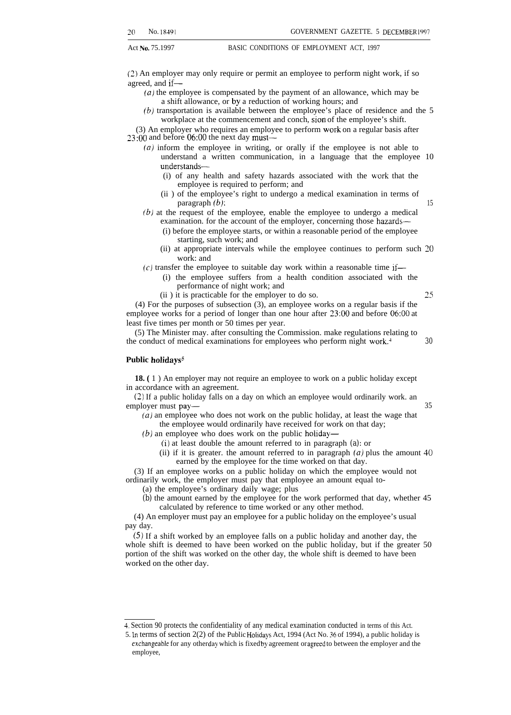(2) An employer may only require or permit an employee to perform night work, if so agreed, and if—

- *(a)* the employee is compensated by the payment of an allowance, which may be a shift allowance, or by a reduction of working hours; and
- (b) transportation is available between the employee's place of residence and the 5 workplace at the commencement and conch, sion of the employee's shift.

(3) An employer who requires an employee to perform work on a regular basis after 23:00 and before 06:00 the next day must—

- $(a)$  inform the employee in writing, or orally if the employee is not able to understand a written communication, in a language that the employee 10 understands—
	- (i) of any health and safety hazards associated with the work that the employee is required to perform; and
	- (ii ) of the employee's right to undergo a medical examination in terms of  $\mathbf{p}$  paragraph  $(b)$ : 15
- $(b)$  at the request of the employee, enable the employee to undergo a medical examination. for the account of the employer, concerning those hazards—
	- (i) before the employee starts, or within a reasonable period of the employee starting, such work; and
	- (ii) at appropriate intervals while the employee continues to perform such 20 work: and

 $(c)$  transfer the employee to suitable day work within a reasonable time if—

- (i) the employee suffers from a health condition associated with the performance of night work; and
- $(ii)$  it is practicable for the employer to do so. 25

(4) For the purposes of subsection (3), an employee works on a regular basis if the employee works for a period of longer than one hour after 23:00 and before 06:00 at least five times per month or 50 times per year.

(5) The Minister may. after consulting the Commission. make regulations relating to the conduct of medical examinations for employees who perform night work.<sup>4</sup>  $\frac{30}{2}$ 

### Public holidays<sup>5</sup>

**18. (** 1 ) An employer may not require an employee to work on a public holiday except in accordance with an agreement.

(2) If a public holiday falls on a day on which an employee would ordinarily work. an employer must pay— 35

 $(a)$  an employee who does not work on the public holiday, at least the wage that the employee would ordinarily have received for work on that day;

 $(b)$  an employee who does work on the public holiday—

- (i) at least double the amount referred to in paragraph *(a):* or
- (ii) if it is greater. the amount referred to in paragraph  $(a)$  plus the amount 40 earned by the employee for the time worked on that day.

(3) If an employee works on a public holiday on which the employee would not ordinarily work, the employer must pay that employee an amount equal to-

(a) the employee's ordinary daily wage; plus

*(b)* the amount earned by the employee for the work performed that day, whether 45 calculated by reference to time worked or any other method.

(4) An employer must pay an employee for a public holiday on the employee's usual pay day.

(5) If a shift worked by an employee falls on a public holiday and another day, the whole shift is deemed to have been worked on the public holiday, but if the greater 50 portion of the shift was worked on the other day, the whole shift is deemed to have been worked on the other day.

<sup>4.</sup> Section 90 protects the confidentiality of any medical examination conducted in terms of this Act.

<sup>5.</sup> In terms of section 2(2) of the Public HOhddys Act, 1994 (Act No. 36 of 1994), a public holiday is exchangeable for any otherday which is fixed by agreement or agreed to between the employer and the employee,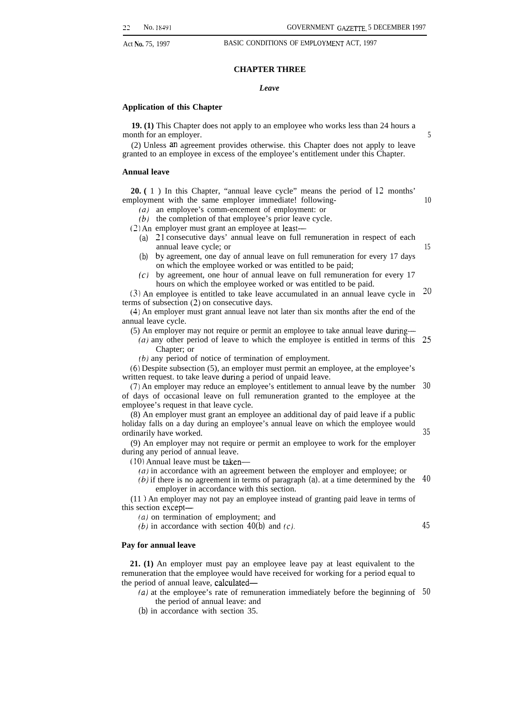### **CHAPTER THREE**

### *Leave*

### **Application of this Chapter**

**19. (1)** This Chapter does not apply to an employee who works less than 24 hours a month for an employer.

(2) Unless an agreement provides otherwise. this Chapter does not apply to leave granted to an employee in excess of the employee's entitlement under this Chapter.

### **Annual leave**

**20. (** 1 ) In this Chapter, "annual leave cycle" means the period of 12 months' employment with the same employer immediate! following-

- (a) an employee's comm-encement of employment: or
- *(b)* the completion of that employee's prior leave cycle.

*(2)* An employer must grant an employee at least—

- *(a)* 21 consecutive days' annual leave on full remuneration in respect of each annual leave cycle; or
- *(b)* by agreement, one day of annual leave on full remuneration for every 17 days on which the employee worked or was entitled to be paid;
- *(c)* by agreement, one hour of annual leave on full remuneration for every 17 hours on which the employee worked or was entitled to be paid.

(3) An employee is entitled to take leave accumulated in an annual leave cycle in terms of subsection (2) on consecutive days. ~o

(4) An employer must grant annual leave not later than six months after the end of the annual leave cycle.

(5) An employer may not require or permit an employee to take annual leave dunng—

*(a)* any other period of leave to which the employee is entitled in terms of this 25 Chapter; or

(b) any period of notice of termination of employment.

(6) Despite subsection (5), an employer must permit an employee, at the employee's written request. to take leave during a period of unpaid leave.

(7) An employer may reduce an employee's entitlement to annual leave by the number *30* of days of occasional leave on full remuneration granted to the employee at the employee's request in that leave cycle.

(8) An employer must grant an employee an additional day of paid leave if a public holiday falls on a day during an employee's annual leave on which the employee would ordinarily have worked.

(9) An employer may not require or permit an employee to work for the employer during any period of annual leave.

 $(10)$  Annual leave must be taken—

*(a)* in accordance with an agreement between the employer and employee; or

(b) if there is no agreement in terms of paragraph *(a).* at a time determined by the *40* employer in accordance with this section.

(11 ) An employer may not pay an employee instead of granting paid leave in terms of this section except—

 $(a)$  on termination of employment; and

*(b)* in accordance with section  $40(b)$  and *(c)*.

### **Pay for annual leave**

**21. (1)** An employer must pay an employee leave pay at least equivalent to the remuneration that the employee would have received for working for a period equal to the period of annual leave, calculated—

(a) at the employee's rate of remuneration immediately before the beginning of *50*the period of annual leave: and

*(b)* in accordance with section 35.

5

10

15

*35*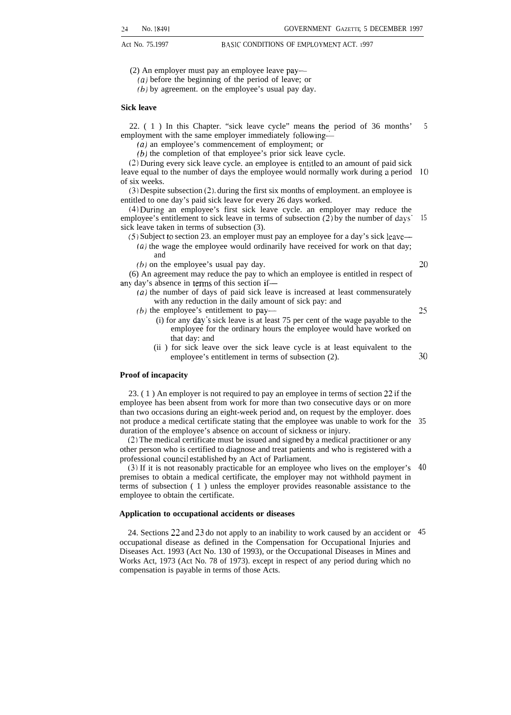(2) An employer must pay an employee leave pay—

(a) before the beginning of the period of leave; or

(b) by agreement. on the employee's usual pay day.

### **Sick leave**

22. ( 1 ) In this Chapter. "sick leave cycle" means the period of 36 months' employment with the same employer immediately following— 5

(a) an employee's commencement of employment; or

(b) the completion of that employee's prior sick leave cycle.

(2) During every sick leave cycle. an employee is entitled to an amount of paid sick leave equal to the number of days the employee would normally work during a period 10 of six weeks.

(3) Despite subsection (2), during the first six months of employment. an employee is entitled to one day's paid sick leave for every 26 days worked.

(4) During an employee's first sick leave cycle. an employer may reduce the employee's entitlement to sick leave in terms of subsection  $(2)$  by the number of days' sick leave taken in terms of subsection (3). 15

 $(5)$  Subject to section 23. an employer must pay an employee for a day's sick leave— (a) the wage the employee would ordinarily have received for work on that day; and

 $(b)$  on the employee's usual pay day.

*20*

25

(6) An agreement may reduce the pay to which an employee is entitled in respect of any day's absence in lerms of this section if—

 $(a)$  the number of days of paid sick leave is increased at least commensurately with any reduction in the daily amount of sick pay: and

 $(b)$  the employee's entitlement to pay—

- (i) for any day"s sick leave is at least 75 per cent of the wage payable to the employee for the ordinary hours the employee would have worked on that day: and
- (ii ) for sick leave over the sick leave cycle is at least equivalent to the employee's entitlement in terms of subsection (2). *30*

### **Proof of incapacity**

23. ( 1 ) An employer is not required to pay an employee in terms of section 22 if the employee has been absent from work for more than two consecutive days or on more than two occasions during an eight-week period and, on request by the employer. does not produce a medical certificate stating that the employee was unable to work for the 35 duration of the employee's absence on account of sickness or injury.

(2) The medical certificate must be issued and signed by a medical practitioner or any other person who is certified to diagnose and treat patients and who is registered with a professional council established by an Act of Parliament.

(3) If it is not reasonably practicable for an employee who lives on the employer's *40* premises to obtain a medical certificate, the employer may not withhold payment in terms of subsection ( 1 ) unless the employer provides reasonable assistance to the employee to obtain the certificate.

### **Application to occupational accidents or diseases**

24. Sections 22 and 23 do not apply to an inability to work caused by an accident or 45occupational disease as defined in the Compensation for Occupational Injuries and Diseases Act. 1993 (Act No. 130 of 1993), or the Occupational Diseases in Mines and Works Act, 1973 (Act No. 78 of 1973). except in respect of any period during which no compensation is payable in terms of those Acts.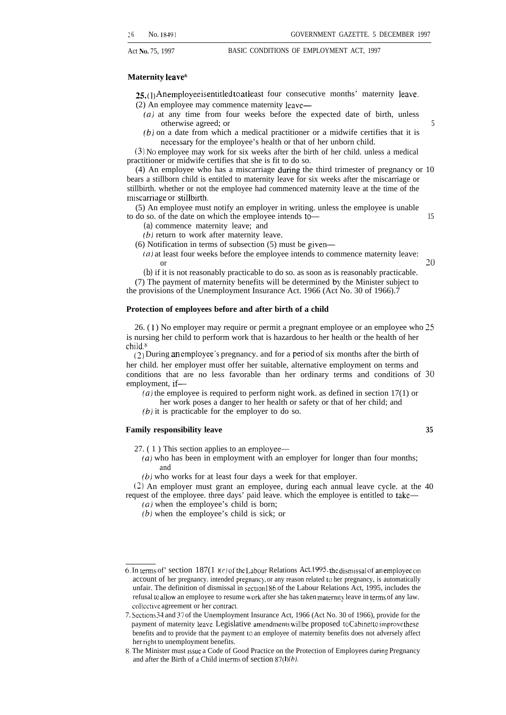### **Maternity leave**<sup>6</sup>

**25.**(1) Anemployee is entitled to at least four consecutive months' maternity leave.

- (2) An employee may commence maternity leave—
	- (a) at any time from four weeks before the expected date of birth, unless otherwise agreed; or 5
	- $(b)$  on a date from which a medical practitioner or a midwife certifies that it is necessary for the employee's health or that of her unborn child.

(3) NO employee may work for six weeks after the birth of her child. unless a medical practitioner or midwife certifies that she is fit to do so.

(4) An employee who has a miscarriage during the third trimester of pregnancy or 10 bears a stillborn child is entitled to maternity leave for six weeks after the miscarriage or stillbirth. whether or not the employee had commenced maternity leave at the time of the miscarriage or stillbirth.

(5) An employee must notify an employer in writing. unless the employee is unable to do so. of the date on which the employee intends to  $\frac{15}{15}$ 

- *(a)* commence maternity leave; and
- $(b)$  return to work after maternity leave.
- $(6)$  Notification in terms of subsection  $(5)$  must be given—
	- $(a)$  at least four weeks before the employee intends to commence maternity leave: or  $20$

*(b)* if it is not reasonably practicable to do so. as soon as is reasonably practicable. (7) The payment of maternity benefits will be determined by the Minister subject to

the provisions of the Unemployment Insurance Act. 1966 (Act No. 30 of 1966).7

### **Protection of employees before and after birth of a child**

26. ( 1 ) No employer may require or permit a pregnant employee or an employee who 25 is nursing her child to perform work that is hazardous to her health or the health of her child<sup>8</sup>

 $(2)$  During an employee's pregnancy. and for a period of six months after the birth of her child. her employer must offer her suitable, alternative employment on terms and conditions that are no less favorable than her ordinary terms and conditions of 30 employment, if—

(a) the employee is required to perform night work. as defined in section  $17(1)$  or

her work poses a danger to her health or safety or that of her child; and

 $(b)$  it is practicable for the employer to do so.

### **Family responsibility leave 35**

27. ( 1 ) This section applies to an employee—

 $(a)$  who has been in employment with an employer for longer than four months; and

(b) who works for at least four days a week for that employer.

(2) An employer must grant an employee, during each annual leave cycle. at the 40 request of the employee. three days' paid leave. which the employee is entitled to take— *(a)* when the employee's child is born;

(b) when the employee's child is sick; or

<sup>6.</sup> In terms of' section  $187(1 \text{ } \text{K}e)$  of the Labour Relations Act. 1995. the dismissal of an employee on account of her pregnancy, intended pregnancy, or any reason related to her pregnancy, is automatically unfair. The definition of dismissal in section 186 of the Labour Relations Act, 1995, includes the refusal to allow an employee to resume work after she has taken maternity leave in terms of any law. collective agreement or her contract.

<sup>7.</sup> Sections 34 and 37 of the Unemployment Insurance Act, 1966 (Act No. 30 of 1966), provide for the payment of maternity leave. Legislative amendments will be proposed to Cabinet to improve these benefits and to provide that the payment to an employee of maternity benefits does not adversely affect her right to unemployment benefits.

<sup>8.</sup> The Minister must Issue a Code of Good Practice on the Protection of Employees during Pregnancy and after the Birth of a Child in terms of section  $87(1)(b)$ .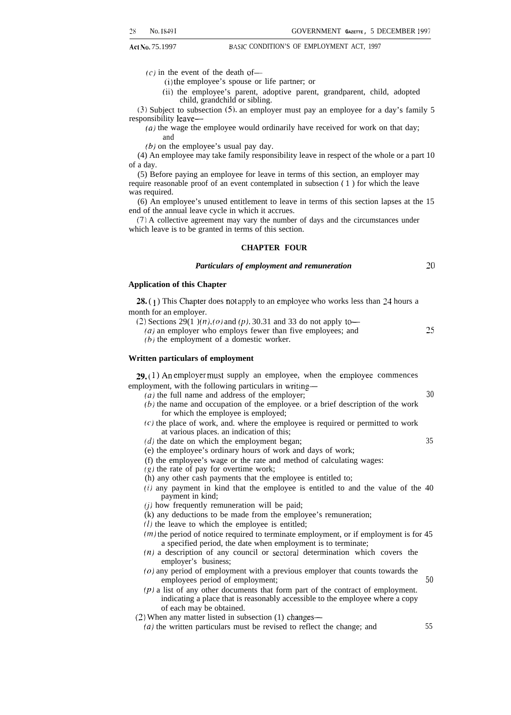$(c)$  in the event of the death of-

(i) the employee's spouse or life partner; or

(ii) the employee's parent, adoptive parent, grandparent, child, adopted child, grandchild or sibling.

(3) Subject to subsection (5), an employer must pay an employee for a day's family 5 responsibility leave—

 $(a)$  the wage the employee would ordinarily have received for work on that day; and

*(b)* on the employee's usual pay day.

(4) An employee may take family responsibility leave in respect of the whole or a part 10 of a day.

(5) Before paying an employee for leave in terms of this section, an employer may require reasonable proof of an event contemplated in subsection ( 1 ) for which the leave was required.

(6) An employee's unused entitlement to leave in terms of this section lapses at the 15 end of the annual leave cycle in which it accrues.

(7) A collective agreement may vary the number of days and the circumstances under which leave is to be granted in terms of this section.

### **CHAPTER FOUR**

### *Particulars of employment and remuneration 20*

### **Application of this Chapter**

**28.** (1) This Chapter does not apply to an employee who works less than 24 hours a month for an employer.

(2) Sections 29(1 )(n), (o) and (p), 30.31 and 33 do not apply to—

(*a*) an employer who employs fewer than five employees; and  $25$ 

 $(b)$  the employment of a domestic worker.

### **Written particulars of employment**

 $29. (1)$  An employer must supply an employee, when the employee commences employment, with the following particulars in writing—

- $(a)$  the full name and address of the employer;  $30$ 
	- *(b)* the name and occupation of the employee. or a brief description of the work for which the employee is employed;
	- $(c)$  the place of work, and. where the employee is required or permitted to work at various places. an indication of this;
	- $(d)$  the date on which the employment began;  $35$
	- (e) the employee's ordinary hours of work and days of work;
	- (f) the employee's wage or the rate and method of calculating wages:
	- $(g)$  the rate of pay for overtime work;
	- (h) any other cash payments that the employee is entitled to;
	- *(i)* any payment in kind that the employee is entitled to and the value of the 40 payment in kind;
	- $(j)$  how frequently remuneration will be paid;
	- (k) any deductions to be made from the employee's remuneration;
	- $(l)$  the leave to which the employee is entitled;
	- $(m)$  the period of notice required to terminate employment, or if employment is for 45 a specified period, the date when employment is to terminate;
	- $(n)$  a description of any council or sectoral determination which covers the employer's business;
	- (o) any period of employment with a previous employer that counts towards the employees period of employment; *50*
	- *(p)* a list of any other documents that form part of the contract of employment. indicating a place that is reasonably accessible to the employee where a copy of each may be obtained.
- (2) When any matter listed in subsection (1) changes—
	- *(a)* the written particulars must be revised to reflect the change; and 55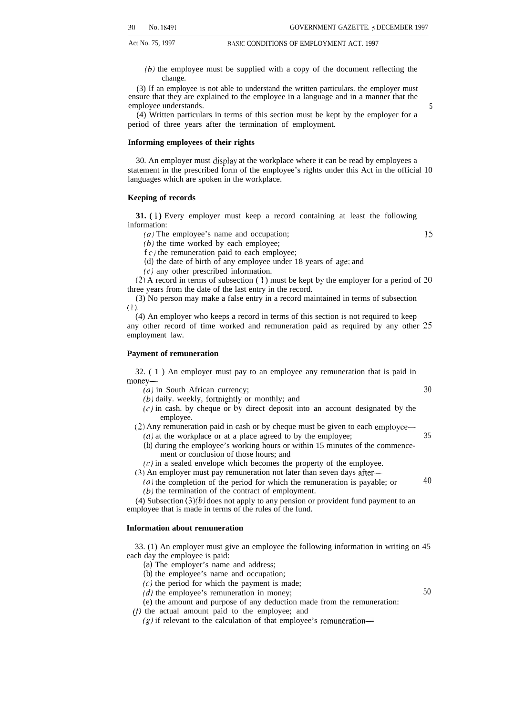- Act No. 75, 1997 BASIC CONDITIONS OF EMPLOYMENT ACT. 1997
	- (b) the employee must be supplied with a copy of the document reflecting the change.

(3) If an employee is not able to understand the written particulars. the employer must ensure that they are explained to the employee in a language and in a manner that the employee understands. 5

(4) Written particulars in terms of this section must be kept by the employer for a period of three years after the termination of employment.

### **Informing employees of their rights**

30. An employer must display at the workplace where it can be read by employees a statement in the prescribed form of the employee's rights under this Act in the official 10 languages which are spoken in the workplace.

### **Keeping of records**

**31.** (1) Every employer must keep a record containing at least the following information:

(a) The employee's name and occupation; 15

*(b)* the time worked by each employee;

 $f c$ ) the remuneration paid to each employee;

*(d)* the date of birth of any employee under 18 years of age: and

 $(e)$  any other prescribed information.

 $(2)$  A record in terms of subsection  $(1)$  must be kept by the employer for a period of 20 three years from the date of the last entry in the record.

(3) No person may make a false entry in a record maintained in terms of subsection (1).

(4) An employer who keeps a record in terms of this section is not required to keep any other record of time worked and remuneration paid as required by any other 25 employment law.

### **Payment of remuneration**

32. ( 1 ) An employer must pay to an employee any remuneration that is paid in money—

(a) in South African currency; *30*

- *(b)* daily. weekly, fortnightly or monthly; and
- $(c)$  in cash. by cheque or by direct deposit into an account designated by the employee.
- (2) Any remuneration paid in cash or by cheque must be given to each employee—
	- (*a*) at the workplace or at a place agreed to by the employee;  $35$ *(b)* during the employee's working hours or within 15 minutes of the commencement or conclusion of those hours; and
- $(c)$  in a sealed envelope which becomes the property of the employee.

(3) An employer must pay remuneration not later than seven days after—

(a) the completion of the period for which the remuneration is payable; or *40 (b)* the termination of the contract of employment.

(4) Subsection *(3)(b)* does not apply to any pension or provident fund payment to an employee that is made in terms of the rules of the fund.

### **Information about remuneration**

33. (1) An employer must give an employee the following information in writing on 45 each day the employee is paid:

- *(a)* The employer's name and address;
- *(b)* the employee's name and occupation;
- $(c)$  the period for which the payment is made;

*(d)* the employee's remuneration in money;

- (e) the amount and purpose of any deduction made from the remuneration:
- $(f)$  the actual amount paid to the employee; and
	- $(g)$  if relevant to the calculation of that employee's remuneration—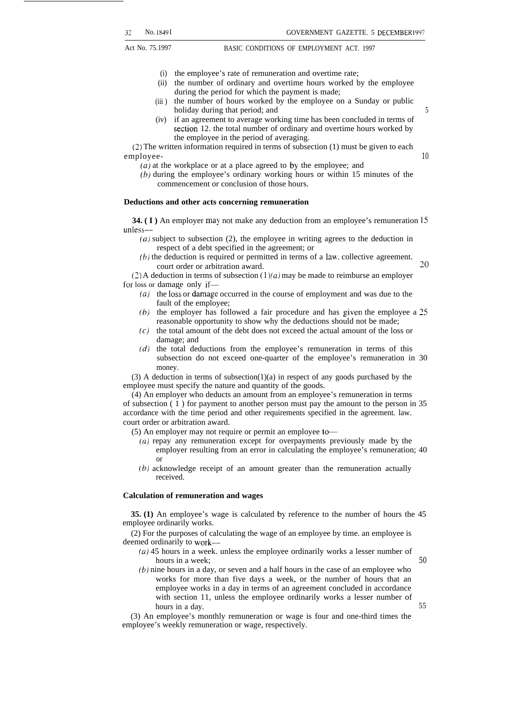- (i) the employee's rate of remuneration and overtime rate;
- (ii) the number of ordinary and overtime hours worked by the employee during the period for which the payment is made;
- (iii) the number of hours worked by the employee on a Sunday or public holiday during that period; and 5
- (iv) if an agreement to average working time has been concluded in terms of section 12. the total number of ordinary and overtime hours worked by the employee in the period of averaging.

(2) The written information required in terms of subsection (1) must be given to each employee- *10*

*(a)* at the workplace or at a place agreed to by the employee; and

(b) during the employee's ordinary working hours or within 15 minutes of the commencement or conclusion of those hours.

### **Deductions and other acts concerning remuneration**

**34. (I)** An employer may not make any deduction from an employee's remuneration 15 unless—

- $(a)$  subject to subsection  $(2)$ , the employee in writing agrees to the deduction in respect of a debt specified in the agreement; or
- $(b)$  the deduction is required or permitted in terms of a law. collective agreement.  $c$ ourt order or arbitration award.  $20$

(2) A deduction in terms of subsection  $(1)(a)$  may be made to reimburse an employer for loss or damage only if—

- $(a)$  the loss or damage occurred in the course of employment and was due to the fault of the employee;
- $(b)$  the employer has followed a fair procedure and has given the employee a 25 reasonable opportunity to show why the deductions should not be made;
- (c) the total amount of the debt does not exceed the actual amount of the loss or damage; and
- (d) the total deductions from the employee's remuneration in terms of this subsection do not exceed one-quarter of the employee's remuneration in 30 money.

(3) A deduction in terms of subsection(1)(a) in respect of any goods purchased by the employee must specify the nature and quantity of the goods.

(4) An employer who deducts an amount from an employee's remuneration in terms of subsection ( 1 ) for payment to another person must pay the amount to the person in 35 accordance with the time period and other requirements specified in the agreement. law. court order or arbitration award.

(5) An employer may not require or permit an employee te

- $(a)$  repay any remuneration except for overpayments previously made by the employer resulting from an error in calculating the employee's remuneration; 40 or
- (b) acknowledge receipt of an amount greater than the remuneration actually received.

### **Calculation of remuneration and wages**

**35. (1)** An employee's wage is calculated by reference to the number of hours the 45 employee ordinarily works.

(2) For the purposes of calculating the wage of an employee by time. an employee is deemed ordinarily to work—

- $(a)$  45 hours in a week. unless the employee ordinarily works a lesser number of hours in a week;  $50$
- *(b)* nine hours in a day, or seven and a half hours in the case of an employee who works for more than five days a week, or the number of hours that an employee works in a day in terms of an agreement concluded in accordance with section 11, unless the employee ordinarily works a lesser number of hours in a day. 55

(3) An employee's monthly remuneration or wage is four and one-third times the employee's weekly remuneration or wage, respectively.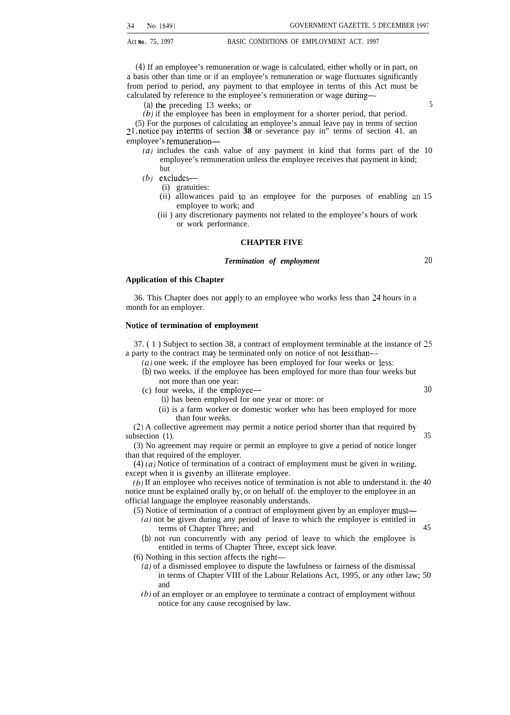*(4)* If an employee's remuneration or wage is calculated, either wholly or in part, on a basis other than time or if an employee's remuneration or wage fluctuates significantly from period to period, any payment to that employee in terms of this Act must be calculated by reference to the employee's remuneration or wage during—

(a) the preceding 13 weeks; or 5

(b) if the employee has been in employment for a shorter period, that period.

(5) For the purposes of calculating an employee's annual leave pay in terms of section z 1, notice pay in [ems of section **38** or severance pay in" terms of section 41. an employee's remuneration—

- *(a)* includes the cash value of any payment in kind that forms part of the 10 employee's remuneration unless the employee receives that payment in kind; but
- *(b)* excludes—
	- (i) gratuities:
	- (ii) allowances paid to an employee for the purposes of enabling an 15 employee to work; and
	- (iii ) any discretionary payments not related to the employee's hours of work or work performance.

### **CHAPTER FIVE**

### *Termination of employment*

**Application of this Chapter**

36. This Chapter does not apply to an employee who works less than 24 hours in a month for an employer.

### **N'otice of termination of employment**

37. ( 1 ) Subject to section 38, a contract of employment terminable at the instance of 25 a party to the contract may be terminated only on notice of not less than—

- $(a)$  one week. if the employee has been employed for four weeks or less; *(b)* two weeks. if the employee has been employed for more than four weeks but
	- not more than one year:
- (c) four weeks, if the employee— *30*
	- *(i)* has been employed for one year or more: or
	- (ii) is a farm worker or domestic worker who has been employed for more than four weeks.

(2) A collective agreement may permit a notice period shorter than that required by subsection (1). 35

(3) No agreement may require or permit an employee to give a period of notice longer than that required of the employer.

 $(4)$  (a) Notice of termination of a contract of employment must be given in writing, except when it is given by an illiterate employee.

(b) If an employee who receives notice of termination is not able to understand it. the 40 notice must be explained orally by, or on behalf of. the employer to the employee in an official language the employee reasonably understands.

(5) Notice of termination of a contract of employment given by an employer must—

- (a) not be given during any period of leave to which the employee is entitled in terms of Chapter Three; and 45
- *(b)* not run concurrently with any period of leave to which the employee is entitled in terms of Chapter Three, except sick leave.
- (6) Nothing in this section affects the right—
	- *(a)* of a dismissed employee to dispute the lawfulness or fairness of the dismissal in terms of Chapter VIII of the Labour Relations Act, 1995, or any other law; 50 and
	- $(b)$  of an employer or an employee to terminate a contract of employment without notice for any cause recognised by law.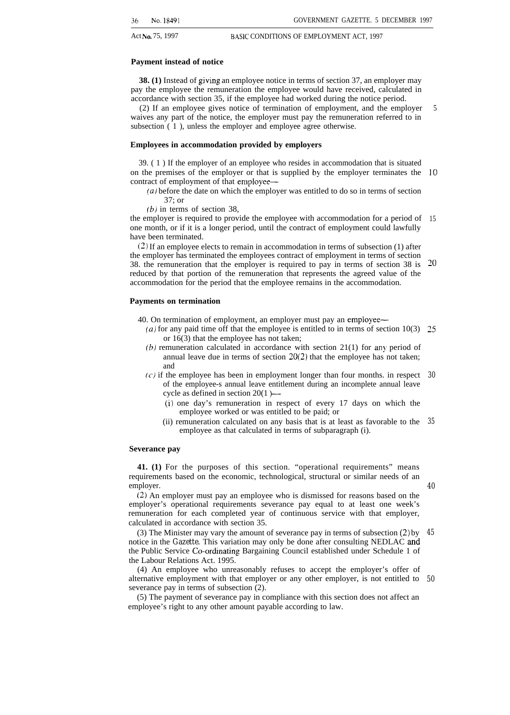### **Payment instead of notice**

**38. (1)** Instead of giving an employee notice in terms of section 37, an employer may pay the employee the remuneration the employee would have received, calculated in accordance with section 35, if the employee had worked during the notice period.

(2) If an employee gives notice of termination of employment, and the employer waives any part of the notice, the employer must pay the remuneration referred to in subsection  $(1)$ , unless the employer and employee agree otherwise. 5

### **Employees in accommodation provided by employers**

39. ( 1 ) If the employer of an employee who resides in accommodation that is situated on the premises of the employer or that is supplied by the employer terminates the *10* contract of employment of that employee—

- *(a)* before the date on which the employer was entitled to do so in terms of section 37; or
- $(b)$  in terms of section 38,

the employer is required to provide the employee with accommodation for a period of 15 one month, or if it is a longer period, until the contract of employment could lawfully have been terminated.

(2) If an employee elects to remain in accommodation in terms of subsection (1) after the employer has terminated the employees contract of employment in terms of section 38. the remuneration that the employer is required to pay in terms of section 38 is reduced by that portion of the remuneration that represents the agreed value of the accommodation for the period that the employee remains in the accommodation. ~o

### **Payments on termination**

40. On termination of employment, an employer must pay an employee—

- *(a)* for any paid time off that the employee is entitled to in terms of section 10(3) 25 or 16(3) that the employee has not taken;
- (b) remuneration calculated in accordance with section 21(1) for any period of annual leave due in terms of section  $20(2)$  that the employee has not taken; and
- (c) if the employee has been in employment longer than four months. in respect *30* of the employee-s annual leave entitlement during an incomplete annual leave cycle as defined in section 20(1 )—
	- (i) one day's remuneration in respect of every 17 days on which the employee worked or was entitled to be paid; or
	- (ii) remuneration calculated on any basis that is at least as favorable to the employee as that calculated in terms of subparagraph (i). *35*

### **Severance pay**

**41. (1)** For the purposes of this section. "operational requirements" means requirements based on the economic, technological, structural or similar needs of an employer.

(2) An employer must pay an employee who is dismissed for reasons based on the employer's operational requirements severance pay equal to at least one week's remuneration for each completed year of continuous service with that employer, calculated in accordance with section 35.

(3) The Minister may vary the amount of severance pay in terms of subsection (2) by notice in the *Gazette.* This variation may only be done after consulting NEDLAC and the Public Service Co-ordinating Bargaining Council established under Schedule 1 of the Labour Relations Act. 1995. *45*

(4) An employee who unreasonably refuses to accept the employer's offer of alternative employment with that employer or any other employer, is not entitled to severance pay in terms of subsection (2). *50*

(5) The payment of severance pay in compliance with this section does not affect an employee's right to any other amount payable according to law.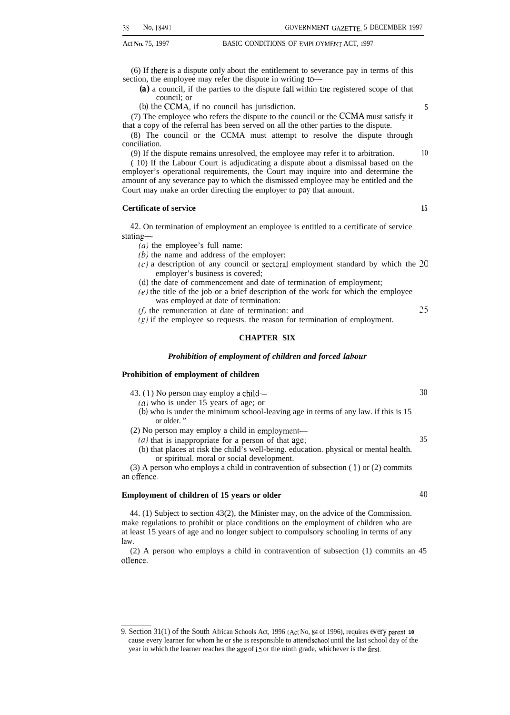(6) If there is a dispute only about the entitlement to severance pay in terms of this section, the employee may refer the dispute in writing to--

Act No. 75, 1997 BASIC CONDITIONS OF EMPLOYMENT ACT, 1997

*(a)* a council, if the parties to the dispute fall within the registered scope of that council; or

*(b) the* CCMA, if no council has jurisdiction. 5

(7) The employee who refers the dispute to the council or the *CCMA* must satisfy it that a copy of the referral has been served on all the other parties to the dispute.

(8) The council or the CCMA must attempt to resolve the dispute through conciliation.

(9) If the dispute remains unresolved, the employee may refer it to arbitration. 10

( 10) If the Labour Court is adjudicating a dispute about a dismissal based on the employer's operational requirements, the Court may inquire into and determine the amount of any severance pay to which the dismissed employee may be entitled and the Court may make an order directing the employer to pay that amount.

### **Certificate of service 15**

*42.* On termination of employment an employee is entitled to a certificate of service stating—

*(a)* the employee's full name:

*(b)* the name and address of the employer:

- $(c)$  a description of any council or sectoral employment standard by which the 20 employer's business is covered;
- *(d)* the date of commencement and date of termination of employment;
- $(e)$  the title of the job or a brief description of the work for which the employee was employed at date of termination:

 $(f)$  the remuneration at date of termination: and  $25$ 

 $(g)$  if the employee so requests. the reason for termination of employment.

### **CHAPTER SIX**

### *Prohibition of employment of children and forced labour*

### **Prohibition of employment of children**

43. ( 1 ) No person may employ a child— *30*

*(a)* who is under 15 years of age; or

- *(b)* who is under the minimum school-leaving age in terms of any law. if this is 15 or older. "
- (2) No person may employ a child in employment—
- (a) that is inappropriate for a person of that age;  $35$
- (b) that places at risk the child's well-being. education. physical or mental health. or spiritual. moral or social development.

(3) A person who employs a child in contravention of subsection  $(1)$  or  $(2)$  commits an offence.

### **Employment of children of 15 years or older** *40*

44. (1) Subject to section 43(2), the Minister may, on the advice of the Commission. make regulations to prohibit or place conditions on the employment of children who are at least 15 years of age and no longer subject to compulsory schooling in terms of any law.

(2) A person who employs a child in contravention of subsection (1) commits an 45 offence.

<sup>9.</sup> Section 31(1) of the South African Schools Act, 1996 (ACI No, 84 of 1996), requires *every* parent**<sup>10</sup>** cause every learner for whom he or she is responsible to attend school until the last school day of the year in which the learner reaches the age of 15 or the ninth grade, whichever is the first.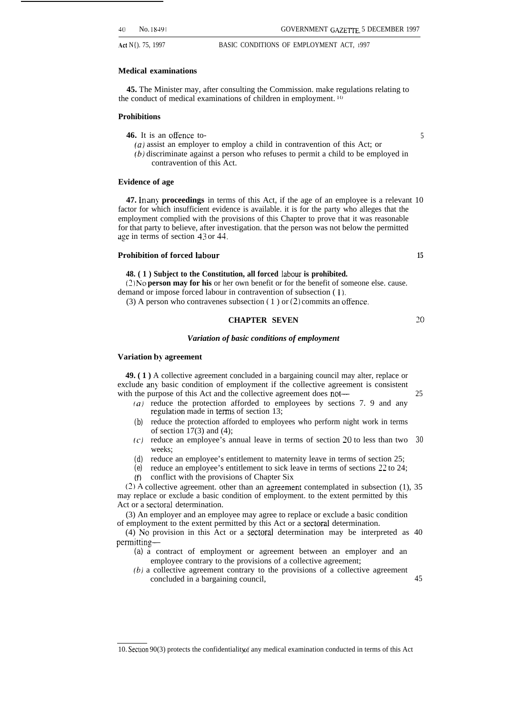20

Act N{). 75, 1997 BASIC CONDITIONS OF EMPLOYMENT ACT, 1997

### **Medical examinations**

**45.** The Minister may, after consulting the Commission. make regulations relating to the conduct of medical examinations of children in employment. <sup>10</sup>

### **Prohibitions**

- **46.** It is an offence to- 5
	- *(a)* assist an employer to employ a child in contravention of this Act; or
	- (b) discriminate against a person who refuses to permit a child to be employed in contravention of this Act.

### **Evidence of age**

**47.** In any **proceedings** in terms of this Act, if the age of an employee is a relevant 10 factor for which insufficient evidence is available. it is for the party who alleges that the employment complied with the provisions of this Chapter to prove that it was reasonable for that party to believe, after investigation. that the person was not below the permitted age in terms of section 43 or 44.

### **Prohibition of forced labour 15**

### **48. ( 1 ) Subject to the Constitution, all forced labour is prohibited.**

**(2) No person may for his** or her own benefit or for the benefit of someone else. cause. demand or impose forced labour in contravention of subsection ( l).

(3) A person who contravenes subsection (1) or (2) commits an offence.

### **CHAPTER SEVEN**

### *Variation of basic conditions of employment*

### **Variation by agreement**

**49. ( 1 )** A collective agreement concluded in a bargaining council may alter, replace or exclude any basic condition of employment if the collective agreement is consistent with the purpose of this Act and the collective agreement does not— 25

- *(a)* reduce the protection afforded to employees by sections 7. 9 and any regulation made in terms of section 13;
- *(b)* reduce the protection afforded to employees who perform night work in terms of section  $17(3)$  and  $(4)$ ;
- *(c')* reduce an employee's annual leave in terms of section 20 to less than two *30* weeks;
- *(d)* reduce an employee's entitlement to maternity leave in terms of section 25;
- *(e)* reduce an employee's entitlement to sick leave in terms of sections 22 to 24; *(f)* conflict with the provisions of Chapter Six

 $(2)$  A collective agreement. other than an agreement contemplated in subsection (1), 35 may replace or exclude a basic condition of employment. to the extent permitted by this Act or a sectoral determination.

(3) An employer and an employee may agree to replace or exclude a basic condition of employment to the extent permitted by this Act or a sectoral determination.

(4) No provision in this Act or a sectoral determination may be interpreted as 40 permitting—

- *(a)* a contract of employment or agreement between an employer and an employee contrary to the provisions of a collective agreement;
- $(b)$  a collective agreement contrary to the provisions of a collective agreement concluded in a bargaining council, 45

<sup>10.</sup> Section 90(3) protects the confidentiality of any medical examination conducted in terms of this Act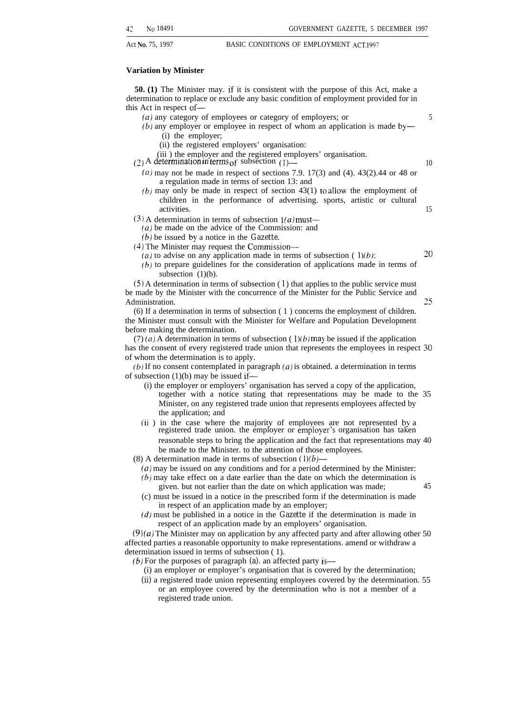### **Variation by Minister**

**50. (1)** The Minister may. if it is consistent with the purpose of this Act, make a determination to replace or exclude any basic condition of employment provided for in this Act in respect of—

- (*a*) any category of employees or category of employers; or  $5$
- (b) any employer or employee in respect of whom an application is made by— (i) the employer;
	- (ii) the registered employers' organisation:
	- (iii ) the employer and the registered employers' organisation.
- (2) A determination in terms of subsection (1)  $\rightarrow$  10
	- $(a)$  may not be made in respect of sections 7.9. 17(3) and (4). 43(2).44 or 48 or a regulation made in terms of section 13: and
	- $(b)$  may only be made in respect of section 43(1) to allow the employment of children in the performance of advertising. sports, artistic or cultural activities. 15
- (3) A determination in terms of subsection  $1(a)$  must—
	- *(a)* be made on the advice of the Commission: and

*(b)* be issued by a notice in the *Gazette.*

- (4) The Minister may request the Commission—
	- (a) to advise on any application made in terms of subsection ( $1)(b)$ :  $20$
	- *(b)* to prepare guidelines for the consideration of applications made in terms of subsection (1)(b).

 $(5)$  A determination in terms of subsection  $(1)$  that applies to the public service must be made by the Minister with the concurrence of the Minister for the Public Service and Administration. 25

(6) If a determination in terms of subsection ( 1 ) concerns the employment of children. the Minister must consult with the Minister for Welfare and Population Development before making the determination.

 $(7)$  (a) A determination in terms of subsection ( $1$ )(b) may be issued if the application has the consent of every registered trade union that represents the employees in respect 30 of whom the determination is to apply.

 $(b)$  If no consent contemplated in paragraph  $(a)$  is obtained. a determination in terms of subsection  $(1)(b)$  may be issued if—

- (i) the employer or employers' organisation has served a copy of the application, together with a notice stating that representations may be made to the 35 Minister, on any registered trade union that represents employees affected by the application; and
- (ii ) in the case where the majority of employees are not represented by a registered trade union. the employer or employer's organisation has taken reasonable steps to bring the application and the fact that representations may 40 be made to the Minister. to the attention of those employees.
- (8) A determination made in terms of subsection  $(1)(b)$ 
	- (a) may be issued on any conditions and for a period determined by the Minister:  $(b)$  may take effect on a date earlier than the date on which the determination is
	- given. but not earlier than the date on which application was made; 45 (c) must be issued in a notice in the prescribed form if the determination is made
	- in respect of an application made by an employer;
	- (d) must be published in a notice in the *Gazette* if the determination is made in respect of an application made by an employers' organisation.

(9) *(a)* The Minister may on application by any affected party and after allowing other 50 affected parties a reasonable opportunity to make representations. amend or withdraw a determination issued in terms of subsection ( 1).

- *(b)* For the purposes of paragraph *(a).* an affected party is—
	- (i) an employer or employer's organisation that is covered by the determination;
	- *(ii)* a registered trade union representing employees covered by the determination. 55 or an employee covered by the determination who is not a member of a registered trade union.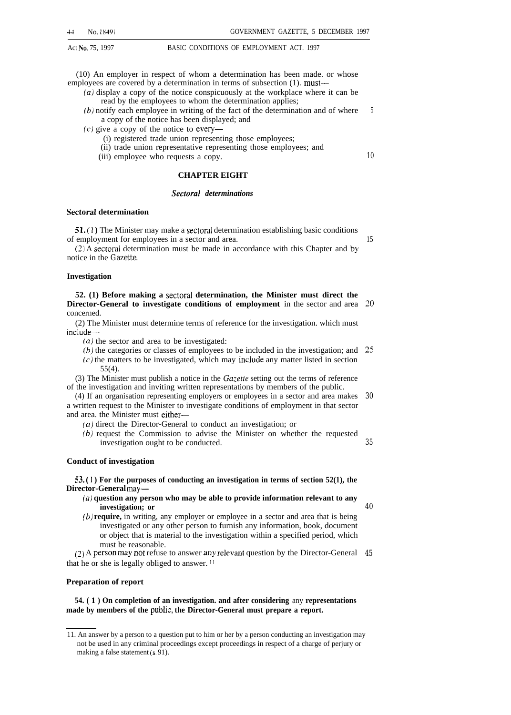(10) An employer in respect of whom a determination has been made. or whose employees are covered by a determination in terms of subsection (1). must---

- *(a)* display a copy of the notice conspicuously at the workplace where it can be read by the employees to whom the determination applies;
- $(b)$  notify each employee in writing of the fact of the determination and of where a copy of the notice has been displayed; and 5
- (c) give a copy of the notice to every—
	- (i) registered trade union representing those employees;
	- (ii) trade union representative representing those employees; and
	- (iii) employee who requests a copy.

### **CHAPTER EIGHT**

### *Sectoral determinations*

### **Sectoral determination**

**51. ( 1 )** The Minister may make a sectoral determination establishing basic conditions of employment for employees in a sector and area.

(2) A sectoral determination must be made in accordance with this Chapter and by notice in the *Gazette.*

### **Investigation**

**52. (1) Before making a sectoral determination, the Minister must direct the Director-General to investigate conditions of employment** in the sector and area concerned. *20*

(2) The Minister must determine terms of reference for the investigation. which must include—

(a) the sector and area to be investigated:

(b) the categories or classes of employees to be included in the investigation; and **25** (c) the matters to be investigated, which may inciude any matter listed in section 55(4).

(3) The Minister must publish a notice in the *Ga:ette* setting out the terms of reference of the investigation and inviting written representations by members of the public.

(4) If an organisation representing employers or employees in a sector and area makes a written request to the Minister to investigate conditions of employment in that sector and area. the Minister must either— *30*

*(a)* direct the Director-General to conduct an investigation; or

(b) request the Commission to advise the Minister on whether the requested investigation ought to be conducted.

### **Conduct of investigation**

**53. ( 1 ) For the purposes of conducting an investigation in terms of section 52(1), the Director-General may—**

- **(a) question any person who may be able to provide information relevant to any investigation; or** *40*
- **(b) require,** in writing, any employer or employee in a sector and area that is being investigated or any other person to furnish any information, book, document or object that is material to the investigation within a specified period, which must be reasonable.

(2) A person may not refuse to answer any relevant question by the Director-General 45 that he or she is legally obliged to answer. 11

### **Preparation of report**

**54. ( 1 ) On completion of an investigation. and after considering** any **representations made by members of the pubiic, the Director-General must prepare a report.**

*10*

15

<sup>11.</sup> An answer by a person to a question put to him or her by a person conducting an investigation may not be used in any criminal proceedings except proceedings in respect of a charge of perjury or making a false statement (s. 91).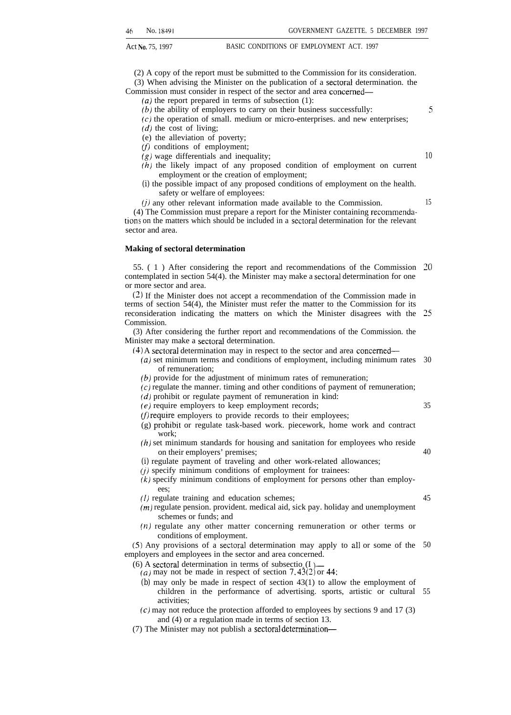(2) A copy of the report must be submitted to the Commission for its consideration. (3) When advising the Minister on the publication of a sectoral determination. the Commission must consider in respect of the sector and area concemed—

*(a)* the report prepared in terms of subsection (1):

(b) the ability of employers to carry on their business successfully: 5

 $(c)$  the operation of small. medium or micro-enterprises. and new enterprises;

 $(d)$  the cost of living;

(e) the alleviation of poverty;

 $(f)$  conditions of employment;

- (g) wage differentials and inequality; *10*
- *(h)* the likely impact of any proposed condition of employment on current employment or the creation of employment;
- *(i)* the possible impact of any proposed conditions of employment on the health. safety or welfare of employees:

35

40

45

 $(j)$  any other relevant information made available to the Commission.  $15$  $(4)$  The Commission must prepare a report for the Minister containing recommendations on the matters which should be included in a sectoral determination for the relevant sector and area.

### **Making of sectoral determination**

55. ( 1 ) After considering the report and recommendations of the Commission *20* contemplated in section 54(4). the Minister may make a sectoral determination for one or more sector and area.

(2) If the Minister does not accept a recommendation of the Commission made in terms of section 54(4), the Minister must refer the matter to the Commission for its reconsideration indicating the matters on which the Minister disagrees with the **Commission** 25

(3) After considering the further report and recommendations of the Commission. the Minister may make a sectoral determination.

- (4) A sectoral determination may in respect to the sector and area concemed—
	- (a) set minimum terms and conditions of employment, including minimum rates 30 of remuneration;
	- (b) provide for the adjustment of minimum rates of remuneration;

 $(c)$  regulate the manner. timing and other conditions of payment of remuneration;

 $(d)$  prohibit or regulate payment of remuneration in kind:

- $(e)$  require employers to keep employment records;
- $(f)$  require employers to provide records to their employees;
- (g) prohlb]t or regulate task-based work. piecework, home work and contract work;
- (h) set minimum standards for housing and sanitation for employees who reside on their employers' premises;
- *(i)* regulate payment of traveling and other work-related allowances;

 $(j)$  specify minimum conditions of employment for trainees:

 $(k)$  specify minimum conditions of employment for persons other than employees;

- (1) regulate training and education schemes;
- (m) regulate pension. provident. medical aid, sick pay. holiday and unemployment schemes or funds; and
- (n) regulate any other matter concerning remuneration or other terms or conditions of employment.

(5) Any provisions of a sectoral determination may apply to all or some of the 50 employers and employees in the sector and area concerned.

(6) A sectoral determination in terms of subsectio<sub>n</sub>(I)-

- (a) may not be made in respect of section 7.43(2) or 44:
- *(b)* may only be made in respect of section 43(1) to allow the employment of children in the performance of advertising. sports, artistic or cultural 55activities;
- $(c)$  may not reduce the protection afforded to employees by sections 9 and 17 (3) and (4) or a regulation made in terms of section 13.
- (7) The Minister may not publish a sectoral determination—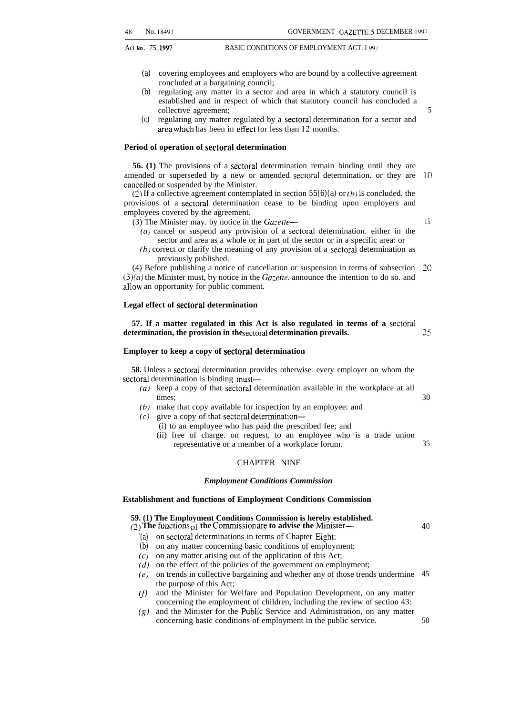- *(a)* covering employees and employers who are bound by a collective agreement concluded at a bargaining council;
- *(b)* regulating any matter in a sector and area in which a statutory council is established and in respect of which that statutory council has concluded a collective agreement;
- *(c)* regulating any matter regulated by a sectoral determination for a sector and area which has been in effect for less than 12 months.

### **Period of operation of sectoral determination**

**56. (1)** The provisions of a sectoral determination remain binding until they are amended or superseded by a new or amended sectoral determination. or they are 10 cancelled or suspended by the Minister.

(2) If a collective agreement contemplated in section *55(6)(a)* or *(b) is* concluded. the provisions of a sectoral determination cease to be binding upon employers and employees covered by the agreement.

- (3) The Minister may. by notice in the *Gazette—*
	- *(a)* cancel or suspend any provision of a sectoral determination. either in the sector and area as a whole or in part of the sector or in a specific area: or
	- *(b)* correct or clarify the meaning of any provision of a sectoral determination as previously published.

 $(4)$  Before publishing a notice of cancellation or suspension in terms of subsection  $20$ *(3)(a)* the Minister must, by notice in the *Ga:ette,* announce the intention to do so. and allow an opportunity for public comment.

### **Legal effect of sectoral determination**

**57. If a matter regulated in this Act is also regulated in terms of a sectoral** determination, the provision in the sectoral determination prevails.

### **Employer to keep a copy of sectoral determination**

**58.** Unless a sectoral determination provides otherwise. every employer on whom the sectoral determination is binding must—

- (a) keep a copy of that sectoral determination available in the workplace at all times; 30
- $(b)$  make that copy available for inspection by an employee: and
- $(c)$  give a copy of that sectoral determination—
	- (i) to an employee who has paid the prescribed fee; and
	- (ii) free of charge. on request, to an employee who is a trade union representative or a member of a workplace forum. 35

### CHAPTER NINE

### *Employment Conditions Commission*

### **Establishment and functions of Employment Conditions Commission**

### **59. (1) The Employment Conditions Commission is hereby established.**

 $(2)$  The functions  $\overline{of}$  the Commission are to advise the Minister—

- *'(a)* on sectoral determinations in terms of Chapter Eight:
- *(b)* on any matter concerning basic conditions of employment;
- *(c)* on any matter arising out of the application of this Act;
- *(d)* on the effect of the policies of the government on employment;
- *(e)* on trends in collective bargaining and whether any of those trends undermine the purpose of this Act; 45
- *(f)* and the Minister for Welfare and Population Development, on any matter concerning the employment of children, including the review of section 43:
- *(g)* and the Minister for the PubIic Service and Administration, on any matter concerning basic conditions of employment in the public service. 50

15

25

*40*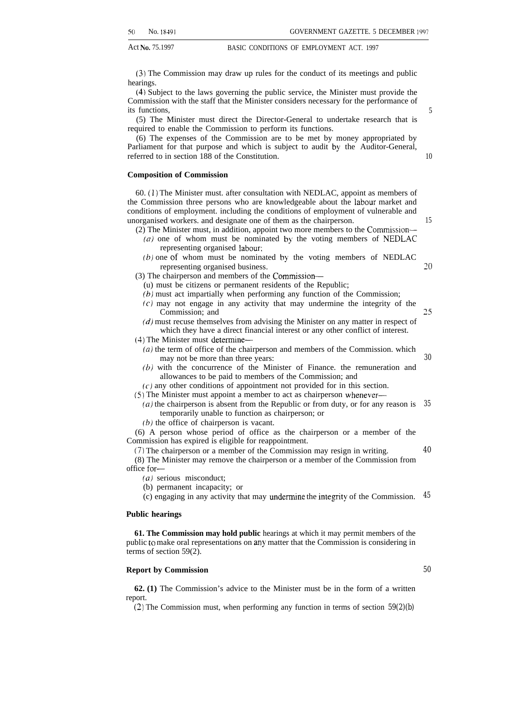(3) The Commission may draw up rules for the conduct of its meetings and public hearings.

(4) Subject to the laws governing the public service, the Minister must provide the Commission with the staff that the Minister considers necessary for the performance of its functions,

(5) The Minister must direct the Director-General to undertake research that is required to enable the Commission to perform its functions.

(6) The expenses of the Commission are to be met by money appropriated by Parliament for that purpose and which is subject to audit by the Auditor-General, referred to in section 188 of the Constitution.

### **Composition of Commission**

60. (1) The Minister must. after consultation with NEDLAC, appoint as members of the Commission three persons who are knowledgeable about the labour market and conditions of employment. including the conditions of employment of vulnerable and unorganised workers. and designate one of them as the chairperson.

- (2) The Minister must, in addition, appoint two more members to the Commission—
	- $(a)$  one of whom must be nominated by the voting members of NEDLAC representing organised labour;
	- (b) one of whom must be nominated by the voting members of NEDLAC representing organised business. *20*
- (3) The chairperson and members of the Commission—
	- (u) must be citizens or permanent residents of the Republic;
	- *(b)* must act impartially when performing any function of the Commission;
	- (c) may not engage in any activity that may undermine the integrity of the Commission; and
	- $(d)$  must recuse themselves from advising the Minister on any matter in respect of which they have a direct financial interest or any other conflict of interest.
- (4) The Minister must determine—
	- (a) the term of office of the chairperson and members of the Commission. which may not be more than three years:
	- (b) with the concurrence of the Minister of Finance. the remuneration and allowances to be paid to members of the Commission; and
	- $(c)$  any other conditions of appointment not provided for in this section.
- (5) The Minister must appoint a member to act as chairperson whenever—
	- $(a)$  the chairperson is absent from the Republic or from duty, or for any reason is temporarily unable to function as chairperson; or *35*
	- *(b)* the office of chairperson is vacant.

(6) A person whose period of office as the chairperson or a member of the Commission has expired is eligible for reappointment.

(7) The chairperson or a member of the Commission may resign in writing. (8) The Minister may remove the chairperson or a member of the Commission from office for—

- $(a)$  serious misconduct;
- (b) permanent incapacity; or
- (c) engaging in any activity that may undermine the integrity of the Commission. *45*

### **Public hearings**

**61. The Commission may hold public** hearings at which it may permit members of the public to make oral representations on any matter that the Commission is considering in terms of section 59(2).

### **Report by Commission**

**62. (1)** The Commission's advice to the Minister must be in the form of a written report.

(2) The Commission must, when performing any function in terms of section *59(2)(b)*

10

15

25

*30*

*40*

*50*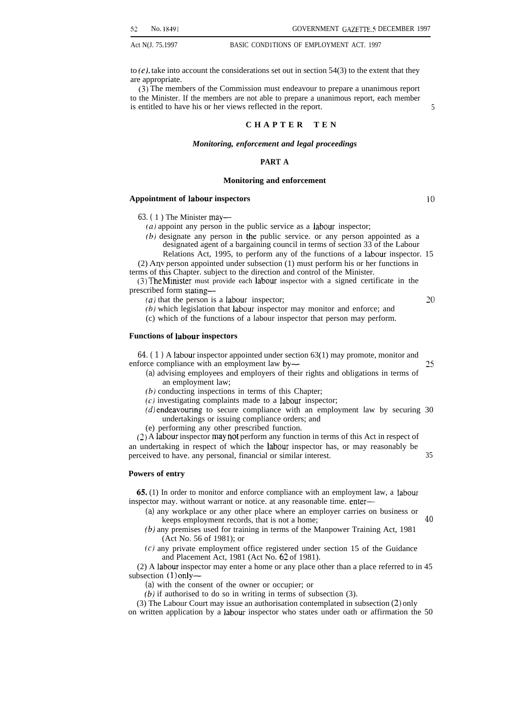to  $(e)$ , take into account the considerations set out in section 54(3) to the extent that they are appropriate.

(3) The members of the Commission must endeavour to prepare a unanimous report to the Minister. If the members are not able to prepare a unanimous report, each member is entitled to have his or her views reflected in the report. 5

### **CHAPTER TE N**

### *Monitoring, enforcement and legal proceedings*

### **PART A**

### **Monitoring and enforcement**

### **Appointment of labour inspectors** 10

*63. (* 1 ) The Minister may—

- $(a)$  appoint any person in the public service as a labour inspector;
- *(b)* designate any person in the public service. or any person appointed as a designated agent of a bargaining council in terms of section 33 of the Labour
- Relations Act, 1995, to perform any of the functions of a labour inspector. 15

(2) Arw person appointed under subsection (1) must perform his or her functions in terms of this Chapter. subject to the direction and control of the Minister.

(3) The Minister must provide each labour inspector with a signed certificate in the prescribed form stating—

*(a)* that the person is a Iabour inspector;

*20*

 $(b)$  which legislation that labour inspector may monitor and enforce; and (c) which of the functions of a labour inspector that person may perform.

### **Functions of labour inspectors**

*64. ( 1 )* A Iabour inspector appointed under section 63(1) may promote, monitor and enforce compliance with an employment law by— 25

- *(a)* advising employees and employers of their rights and obligations in terms of an employment law;
- *(b)* conducting inspections in terms of this Chapter;
- $(c)$  investigating complaints made to a labour inspector;
- $(d)$  endeavouring to secure compliance with an employment law by securing 30 undertakings or issuing compliance orders; and
- (e) performing any other prescribed function.

 $(2)$  A labour inspector may not perform any function in terms of this Act in respect of an undertaking in respect of which the labour inspector has, or may reasonably be perceived to have. any personal, financial or similar interest. 35

### **Powers of entry**

65. (1) In order to monitor and enforce compliance with an employment law, a labour inspector may. without warrant or notice. at any reasonable time. enter—

- *(a)* any workplace or any other place where an employer carries on business or keeps employment records, that is not a home; *40*
- *(b)* any premises used for training in terms of the Manpower Training Act, 1981 (Act No. 56 of 1981); or
- (c) any private employment office registered under section 15 of the Guidance and Placement Act, 1981 (Act No. 62 of 1981).

(2) A labour inspector may enter a home or any place other than a place referred to in 45 subsection (1) only—

- *(a)* with the consent of the owner or occupier; or
- *(b)* if authorised to do so in writing in terms of subsection (3).

(3) The Labour Court may issue an authorisation contemplated in subsection (2) only on written application by a labour inspector who states under oath or affirmation the 50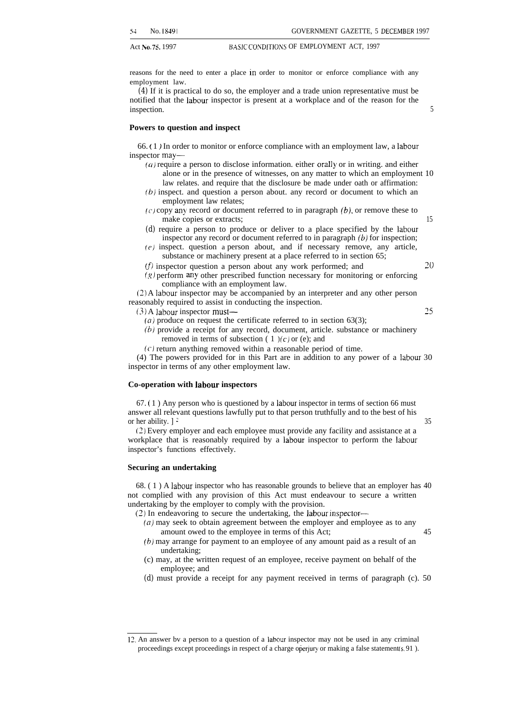reasons for the need to enter a place in order to monitor or enforce compliance with any employment law.

*(4)* If it is practical to do so, the employer and a trade union representative must be notified that the labour inspector is present at a workplace and of the reason for the inspection. 5

**Powers to question and inspect**

66. ( 1 ) In order to monitor or enforce compliance with an employment law, a labour inspector may—

- $(a)$  require a person to disclose information. either orally or in writing. and either alone or in the presence of witnesses, on any matter to which an employment 10 law relates. and require that the disclosure be made under oath or affirmation:
- (b) inspect. and question a person about. any record or document to which an employment law relates;
- $(c)$  copy any record or document referred to in paragraph  $(b)$ , or remove these to make copies or extracts; 15
- *(d)* require a person to produce or deliver to a place specified by the labour inspector any record or document referred to in paragraph  $(b)$  for inspection;
- (e) inspect. question a person about, and if necessary remove, any article, substance or machinery present at a place referred to in section 65;
- $(f)$  inspector question a person about any work performed; and

 $(g)$  perform any other prescribed function necessary for monitoring or enforcing compliance with an employment law. (2) A labour inspector may be accompanied by an interpreter and any other person

reasonably required to assist in conducting the inspection. (3) A labour inspector must— 25

- - (*a*) produce on request the certificate referred to in section 63(3);
	- $(b)$  provide a receipt for any record, document, article. substance or machinery removed in terms of subsection  $(1)(c)$  or (e); and
	- (c) return anything removed within a reasonable period of time.

(4) The powers provided for in this Part are in addition to any power of a labour 30 inspector in terms of any other employment law.

### **Co-operation with labour inspectors**

67. ( 1 ) Any person who is questioned by a labour inspector in terms of section 66 must answer all relevant questions lawfully put to that person truthfully and to the best of his or her ability.  $]$  <sup>2</sup> 35

(2) Every employer and each employee must provide any facility and assistance at a workplace that is reasonably required by a labour inspector to perform the labour inspector's functions effectively.

### **Securing an undertaking**

68. ( 1 ) A labour inspector who has reasonable grounds to believe that an employer has 40 not complied with any provision of this Act must endeavour to secure a written undertaking by the employer to comply with the provision.

(2) In endeavoring to secure the undertaking, the labour inspector—

- $(a)$  may seek to obtain agreement between the employer and employee as to any amount owed to the employee in terms of this Act; 45
- $(b)$  may arrange for payment to an employee of any amount paid as a result of an undertaking;
- (c) may, at the written request of an employee, receive payment on behalf of the employee; and
- *(d)* must provide a receipt for any payment received in terms of paragraph (c). 50

<sup>12,</sup> An answer bv a person to a question of a Iabour inspector may not be used in any criminal proceedings except proceedings in respect of a charge operjury or making a false statement (s. 91).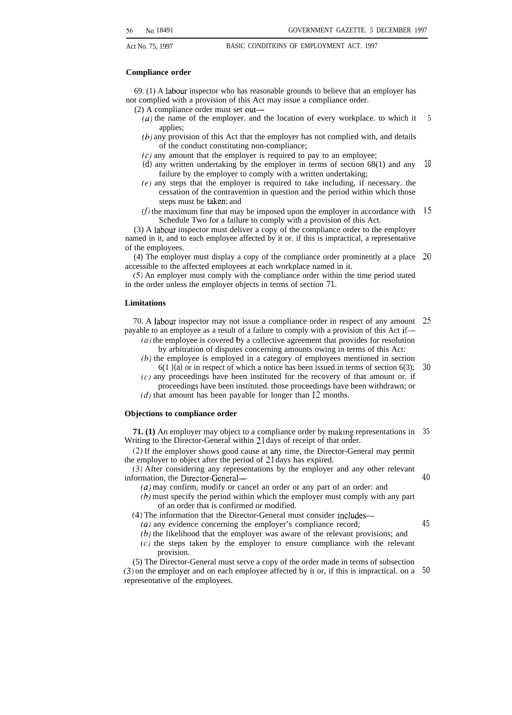### **Compliance order**

69. (1) A labour inspector who has reasonable grounds to believe that an employer has not complied with a provision of this Act may issue a compliance order.

- (2) A compliance order must set out—
	- $(u)$  the name of the employer. and the location of every workplace. to which it applies; 5
	- $(b)$  any provision of this Act that the employer has not complied with, and details of the conduct constituting non-compliance;
	- $(c)$  any amount that the employer is required to pay to an employee;
	- *(d)* any written undertaking by the employer in terms of section 68(1) and any failure by the employer to comply with a written undertaking; 10
	- $(e)$  any steps that the employer is required to take including, if necessary. the cessation of the contravention in question and the period within which those steps must be taken: and
	- (f) the maximum fine that may be imposed upon the employer in accordance with  $15$ Schedule Two for a failure to comply with a provision of this Act.

(3) A labour inspector must deliver a copy of the compliance order to the employer named in it, and to each employee affected by it or. if this is impractical, a representative of the employees.

 $(4)$  The employer must display a copy of the compliance order prominently at a place 20 accessible to the affected employees at each workplace named in it.

(5) An employer must comply with the compliance order within the time period stated in the order unless the employer objects in terms of section *71.*

### **Limitations**

70. A labour inspector may not issue a compliance order in respect of any amount 25 payable to an employee as a result of a failure to comply with a provision of this Act if—

- *(a)* the employee is covered by a collective agreement that provides for resolution by arbitration of disputes concerning amounts owing in terms of this Act:
- (b) the employee is employed in a category of employees mentioned in section 6(1 *)(a)* or in respect of which a notice has been issued in terms of section 6(3); *30*
- $(c)$  any proceedings have been instituted for the recovery of that amount or. if proceedings have been instituted. those proceedings have been withdrawn; or
- $(d)$  that amount has been payable for longer than 12 months.

### **Objections to compliance order**

**71. (1)** An employer may object to a compliance order by making representations in 35 Writing to the Director-General within 21 days of receipt of that order.

(2) If the employer shows good cause at any time, the Director-General may permit the employer to object after the period of 21 days has expired.

(3) After considering any representations by the employer and any other relevant information, the Director-General—

*(a)* may confirm, modify or cancel an order or any part of an order: and

- (b) must specify the period within which the employer must comply with any part of an order that is confirmed or modified.
- (4) The information that the Director-General must consider includes—

(*a*) any evidence concerning the employer's compliance record;

- (b) the likelihood that the employer was aware of the relevant provisions; and
- (c) the steps taken by the employer to ensure compliance with the relevant provision.

(5) The Director-General must serve a copy of the order made in terms of subsection (3) on the empIoyer and on each employee affected by it or, if this is impractical. on a *50*representative of the employees.

*45*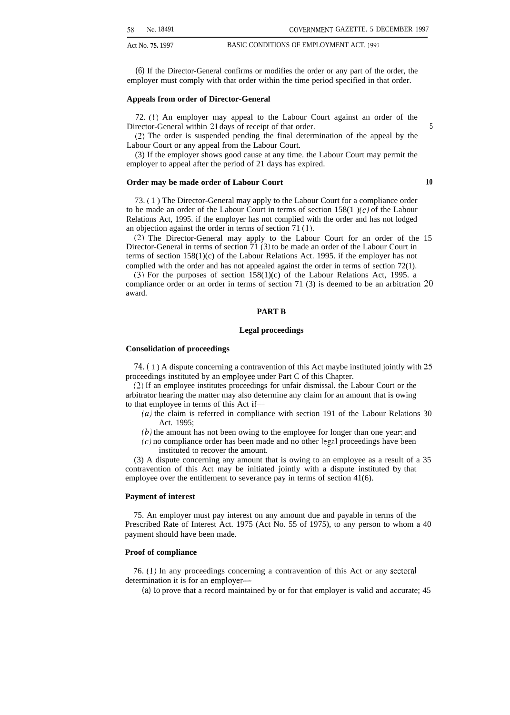*(6)* If the Director-General confirms or modifies the order or any part of the order, the employer must comply with that order within the time period specified in that order.

### **Appeals from order of Director-General**

72. (1) An employer may appeal to the Labour Court against an order of the Director-General within 21 days of receipt of that order. 5

(2) The order is suspended pending the final determination of the appeal by the Labour Court or any appeal from the Labour Court.

(3) If the employer shows good cause at any time. the Labour Court may permit the employer to appeal after the period of 21 days has expired.

### **Order may be made order of Labour Court 10**

73. ( 1 ) The Director-General may apply to the Labour Court for a compliance order to be made an order of the Labour Court in terms of section  $158(1)$  (c) of the Labour Relations Act, 1995. if the employer has not complied with the order and has not lodged an objection against the order in terms of section 71 (1).

(2) The Director-General may apply to the Labour Court for an order of the 15 Director-General in terms of section  $\overline{71}$  (3) to be made an order of the Labour Court in terms of section 158(1)(c) of the Labour Relations Act. 1995. if the employer has not complied with the order and has not appealed against the order in terms of section 72(1).

 $(3)$  For the purposes of section  $158(1)(c)$  of the Labour Relations Act, 1995. a compliance order or an order in terms of section 71 (3) is deemed to be an arbitration 20 award.

### **PART B**

### **Legal proceedings**

### **Consolidation of proceedings**

*74. (* 1 ) A dispute concerning a contravention of this Act maybe instituted jointly with 25 proceedings instituted by an empioyee under Part C of this Chapter.

(2) If an employee institutes proceedings for unfair dismissal. the Labour Court or the arbitrator hearing the matter may also determine any claim for an amount that is owing to that employee in terms of this Act if—

- *(a)* the claim is referred in compliance with section 191 of the Labour Relations 30 Act. 1995;
- $(b)$  the amount has not been owing to the employee for longer than one year; and
- (c) no compliance order has been made and no other legal proceedings have been instituted to recover the amount.

(3) A dispute concerning any amount that is owing to an employee as a result of a 35 contravention of this Act may be initiated jointly with a dispute instituted by that employee over the entitlement to severance pay in terms of section 41(6).

### **Payment of interest**

75. An employer must pay interest on any amount due and payable in terms of the Prescribed Rate of Interest Act. 1975 (Act No. 55 of 1975), to any person to whom a 40 payment should have been made.

### **Proof of compliance**

76. (1) In any proceedings concerning a contravention of this Act or any sectoral determination it is for an employer—

*(a) to* prove that a record maintained by or for that employer is valid and accurate; 45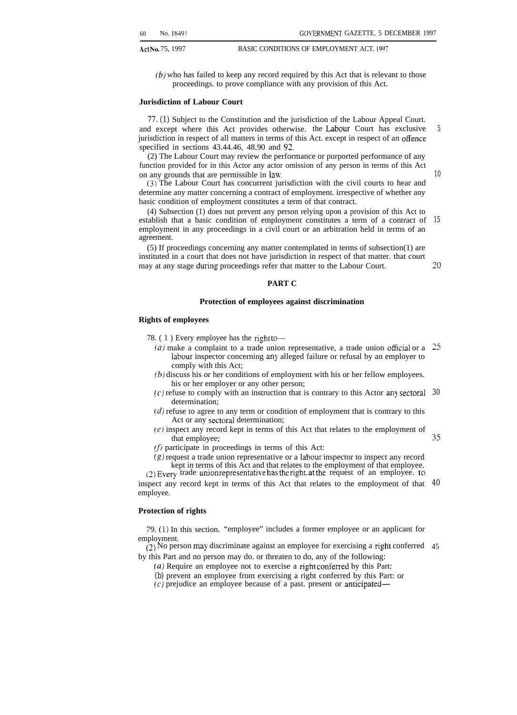*10*

Act No. 75, 1997 BASIC CONDITIONS OF EMPLOYMENT ACT. 1997

*(b)* who has failed to keep any record required by this Act that is relevant to those proceedings. to prove compliance with any provision of this Act.

### **Jurisdiction of Labour Court**

*77. (1)* Subject to the Constitution and the jurisdiction of the Labour Appeal Court. and except where this Act provides otherwise. the Labour Court has exclusive jurisdiction in respect of all matters in terms of this Act. except in respect of an offence specified in sections 43.44.46, 48.90 and 92. *5*

(2) The Labour Court may review the performance or purported performance of any function provided for in this Actor any actor omission of any person in terms of this Act on any grounds that are permissible in law.

(3) The Labour Court has concurrent jurisdiction with the civil courts to hear and determine any matter concerning a contract of employment. irrespective of whether any basic condition of employment constitutes a term of that contract.

(4) Subsection (1) does not prevent any person relying upon a provision of this Act to establish that a basic condition of employment constitutes a term of a contract of employment in any proceedings in a civil court or an arbitration held in terms of an agreement. *15*

(5) If proceedings concerning any matter contemplated in terms of subsection(1) are instituted in a court that does not have jurisdiction in respect of that matter. that court may at any stage during proceedings refer that matter to the Labour Court. *~o*

### **PART C**

### **Protection of employees against discrimination**

### **Rights of employees**

- 78.  $(1)$  Every employee has the right to--
	- (*a*) make a complaint to a trade union representative, a trade union official or a  $25$ labour inspector concerning any alleged failure or refusal by an employer to comply with this Act;
	- (b) discuss his or her conditions of employment with his or her fellow employees. his or her employer or any other person;
	- $(c)$  refuse to comply with an instruction that is contrary to this Actor any sectoral 30 determination;
	- $(d)$  refuse to agree to any term or condition of employment that is contrary to this Act or any sectoral determination;

 $(e)$  inspect any record kept in terms of this Act that relates to the employment of that employee; *35*

 $(f)$  participate in proceedings in terms of this Act:

 $(g)$  request a trade union representative or a labour inspector to inspect any record kept in terms of this Act and that relates to the employment of that employee.

 $(2)$  Every trade union representative has the right. at the request of an employee. to

inspect any record kept in terms of this Act that relates to the employment of that *40* employee.

### **Protection of rights**

79. (1) In this section. "employee" includes a former employee or an applicant for employment.

 $(2)$  No person may discriminate against an employee for exercising a right conferred 45 by this Part and no person may do. or threaten to do, any of the following:

- $(a)$  Require an employee not to exercise a right conferred by this Part:
- *(b)* prevent an employee from exercising a right conferred by this Part: or

(c) prejudice an employee because of a past. present or anticipated—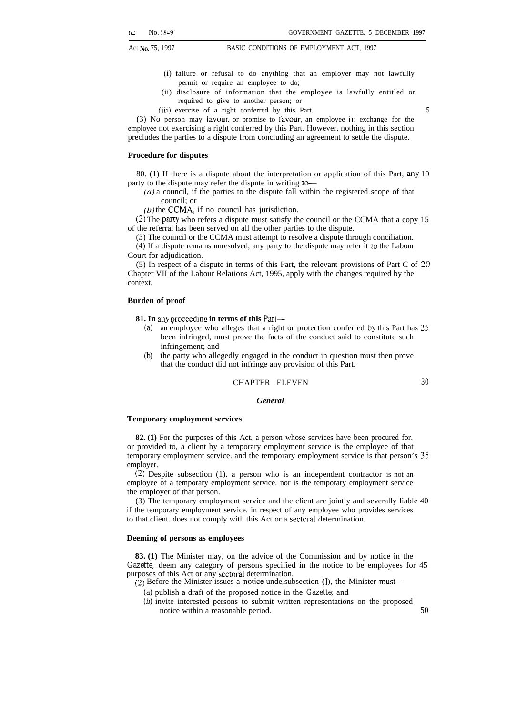- (i) failure or refusal to do anything that an employer may not lawfully permit or require an employee to do;
- (ii) disclosure of information that the employee is lawfully entitled or required to give to another person; or
- (iii) exercise of a right conferred by this Part. 5

(3) No person may favour. or promise to favour, an employee in exchange for the employee not exercising a right conferred by this Part. However. nothing in this section precludes the parties to a dispute from concluding an agreement to settle the dispute.

### **Procedure for disputes**

80. (1) If there is a dispute about the interpretation or application of this Part, any 10 party to the dispute may refer the dispute in writing to-

(a) a council, if the parties to the dispute fall within the registered scope of that council; or

 $(b)$  the CCMA, if no council has jurisdiction.

(2) The party who refers a dispute must satisfy the council or the CCMA that a copy 15 of the referral has been served on all the other parties to the dispute.

(3) The council or the CCMA must attempt to resolve a dispute through conciliation.

 $(4)$  If a dispute remains unresolved, any party to the dispute may refer it to the Labour Court for adjudication.

(5) In respect of a dispute in terms of this Part, the relevant provisions of Part C of 20 Chapter VII of the Labour Relations Act, 1995, apply with the changes required by the context.

### **Burden of proof**

**81. In any proceeding in terms of this Part—** 

- *(a)* an employee who alleges that a right or protection conferred by this Part has 25 been infringed, must prove the facts of the conduct said to constitute such infringement; and
- *(b)* the party who allegedly engaged in the conduct in question must then prove that the conduct did not infringe any provision of this Part.

### CHAPTER ELEVEN *30*

### *General*

### **Temporary employment services**

**82. (1)** For the purposes of this Act. a person whose services have been procured for. or provided to, a client by a temporary employment service is the employee of that temporary employment service. and the temporary employment service is that person's 35 employer.

(2) Despite subsection (1). a person who is an independent contractor is not an employee of a temporary employment service. nor is the temporary employment service the employer of that person.

(3) The temporary employment service and the client are jointly and severally liable 40 if the temporary employment service. in respect of any employee who provides services to that client. does not comply with this Act or a sectoral determination.

### **Deeming of persons as employees**

**83. (1)** The Minister may, on the advice of the Commission and by notice in the *Gazette,* deem any category of persons specified in the notice to be employees for 45 purposes of this Act or any sectoral determination.

 $(2)$  Before the Minister issues a notice unde<sub>r</sub> subsection (]), the Minister must—

- *(a)* publish a draft of the proposed notice in the *Gazette;* and
- *(b)* invite interested persons to submit written representations on the proposed notice within a reasonable period. *50*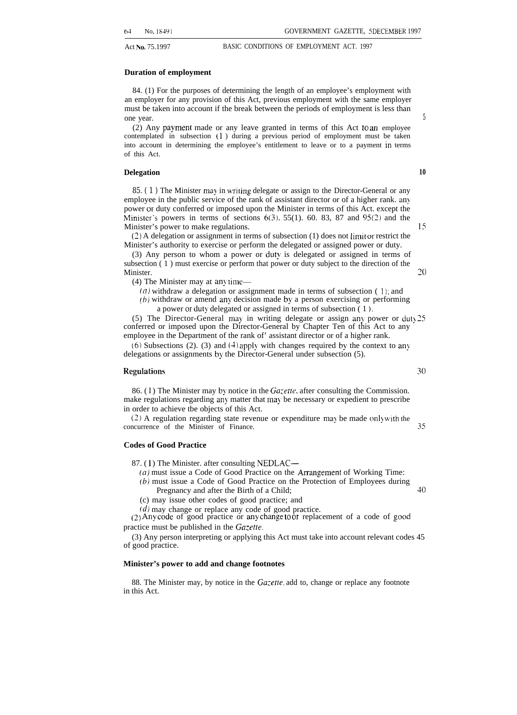### **Duration of employment**

84. (1) For the purposes of determining the length of an employee's employment with an employer for any provision of this Act, previous employment with the same employer must be taken into account if the break between the periods of employment is less than one year.

 $(2)$  Any payment made or any leave granted in terms of this Act to an employee contemplated in subsection (1) during a previous period of employment must be taken into account in determining the employee's entitlement to leave or to a payment in terms of this Act.

### **Delegation 10**

85. (1) The Minister may in writing delegate or assign to the Director-General or any employee in the public service of the rank of assistant director or of a higher rank. any power or duty conferred or imposed upon the Minister in terms of this Act. except the Minister's powers in terms of sections  $6(3)$ . 55(1). 60. 83, 87 and 95(2) and the Minister's power to make regulations. IS

(2) A delegation or assignment in terms of subsection (1) does not limit or restrict the Minister's authority to exercise or perform the delegated or assigned power or duty.

(3) Any person to whom a power or duty is delegated or assigned in terms of subsection ( 1 ) must exercise or perform that power or duty subject to the direction of the Minister. 20

 $(4)$  The Minister may at any time—

- $(a)$  withdraw a delegation or assignment made in terms of subsection (1); and
- (b) withdraw or amend any decision made by a person exercising or performing a power or duty delegated or assigned in terms of subsection (1).

(5) The Director-General may in writing delegate or assign any power or duty  $25$ conferred or imposed upon the Director-General by Chapter Ten of this Act to any employee in the Department of the rank of' assistant director or of a higher rank.

(6) Subsections (2). (3) and  $(4)$  apply with changes required by the context to any delegations or assignments by the Director-General under subsection (5).

### Regulations 30

86. (1) The Minister may by notice in the  $Gazette$ , after consulting the Commission. make regulations regarding any matter that may be necessary or expedient to prescribe in order to achieve tbe objects of this Act.

 $(2)$  A regulation regarding state revenue or expenditure may be made only with the concurrence of the Minister of Finance. 35

### **Codes of Good Practice**

87. (1) The Minister. after consulting NEDLAC—

- $(a)$  must issue a Code of Good Practice on the Arrangement of Working Time:
- (b) must issue a Code of Good Practice on the Protection of Employees during Pregnancy and after the Birth of a Child; 40
- (c) may issue other codes of good practice; and

(d) may change or replace any code of good practice.

 $(2)$  Any code of good practice or any change to or replacement of a code of good practice must be published in the *Ga:etle.*

(3) Any person interpreting or applying this Act must take into account relevant codes 45 of good practice.

### **Minister's power to add and change footnotes**

88. The Minister may, by notice in the *Gacette.* add to, change or replace any footnote in this Act.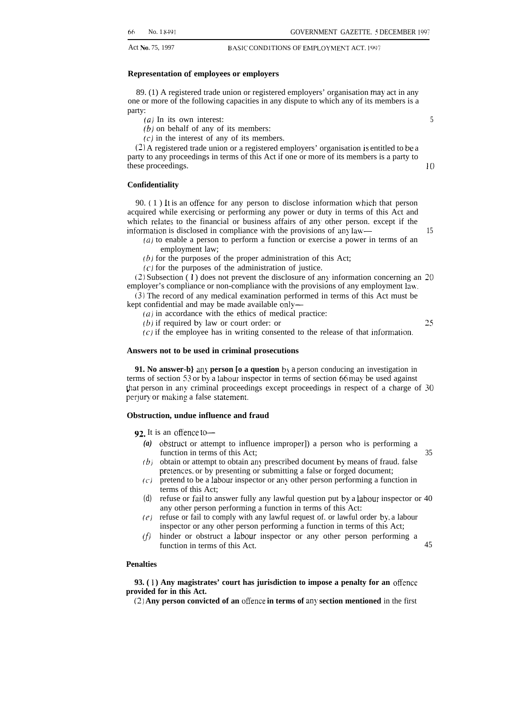### **Representation of employees or employers**

89. (1) A registered trade union or registered employers' organisation may act in any one or more of the following capacities in any dispute to which any of its members is a party:

- *(a)* In its own interest: 5
- $(b)$  on behalf of any of its members:
- $(c)$  in the interest of any of its members.

(2) A registered trade union or a registered employers' organisation is entitled to be a party to any proceedings in terms of this Act if one or more of its members is a party to these proceedings. 10

### **Confidentiality**

90.  $(1)$  It is an offence for any person to disclose information which that person acquired while exercising or performing any power or duty in terms of this Act and which relates to the financial or business affairs of any other person. except if the information is disclosed in compliance with the provisions of any law— 15

- (a) to enable a person to perform a function or exercise a power in terms of an employment law;
- $(b)$  for the purposes of the proper administration of this Act;

 $(c)$  for the purposes of the administration of justice.

(2) Subsection (1) does not prevent the disclosure of any information concerning an  $20$ employer's compliance or non-compliance with the provisions of any employment lau.

(3) The record of any medical examination performed in terms of this Act must be kept confidential and may be made available only-

- $(a)$  in accordance with the ethics of medical practice:
- $(b)$  if required by law or court order: or  $25$

 $(c)$  if the employee has in writing consented to the release of that information.

### **Answers not to be used in criminal prosecutions**

**91. No answer-b}** any **person [o a question** by a person conducing an investigation in terms of section 53 or by a labour inspector in terms of section 66 may be used against that person in any criminal proceedings except proceedings in respect of a charge of 30 perjury or making a false statement.

### **Obstruction, undue influence and fraud**

92. It is an offence to-

- *(a)* obstrucl or attempt to influence improper]) a person who is performing a function in terms of this Act; 35
- $(b)$  obtain or attempt to obtain any prescribed document by means of fraud. false pretences, or by presenting or submitting a false or forged document;
- (c) pretend to be a labour inspector or any other person performing a function in terms of this Act;
- *(d)* refuse or fail to answer fully any lawful question put by a labour inspector or 40 any other person performing a function in terms of this Act:
- $(e)$  refuse or fail to comply with any lawful request of. or lawful order by, a labour inspector or any other person performing a function in terms of this Act;
- (f) hinder or obstruct a labour inspector or any other person performing a function in terms of this Act. 45

### **Penalties**

**93. ( 1 ) Any magistrates' court has jurisdiction to impose a penalty for an offence provided for in this Act.**

(2) Any person convicted of an offence in terms of any section mentioned in the first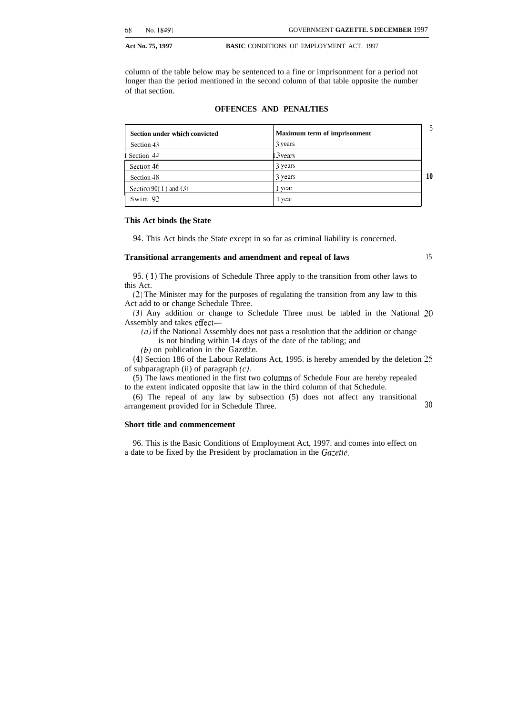column of the table below may be sentenced to a fine or imprisonment for a period not longer than the period mentioned in the second column of that table opposite the number of that section.

### **OFFENCES AND PENALTIES**

| Section under which convicted | <b>Maximum term of imprisonment</b> | 5  |
|-------------------------------|-------------------------------------|----|
| Section 43                    | 3 years                             |    |
| I Section 44                  | 3 vears                             |    |
| Section 46                    | 3 years                             |    |
| Section 48                    | 3 years                             | 10 |
| Section 90(1) and $(3)$       | i vear                              |    |
| Swim $92$                     | 1 year                              |    |

### **This Act binds the State**

*94.* This Act binds the State except in so far as criminal liability is concerned.

### **Transitional arrangements and amendment and repeal of laws** 15

95. (1) The provisions of Schedule Three apply to the transition from other laws to this Act.

(2) The Minister may for the purposes of regulating the transition from any law to this Act add to or change Schedule Three.

(3) Any addition or change to Schedule Three must be tabled in the National 20 Assembly and takes effect—

*(a)* if the National Assembly does not pass a resolution that the addition or change is not binding within 14 days of the date of the tabling; and

*(b)* on publication in the *Gazette.*

*(4)* Section 186 of the Labour Relations Act, 1995. is hereby amended by the deletion 25 of subparagraph (ii) of paragraph  $(c)$ .

(5) The laws mentioned in the first two cohmms of Schedule Four are hereby repealed to the extent indicated opposite that law in the third column of that Schedule.

(6) The repeal of any law by subsection (5) does not affect any transitional arrangement provided for in Schedule Three. *30*

### **Short title and commencement**

96. This is the Basic Conditions of Employment Act, 1997. and comes into effect on a date to be fixed by the President by proclamation in the Gazette.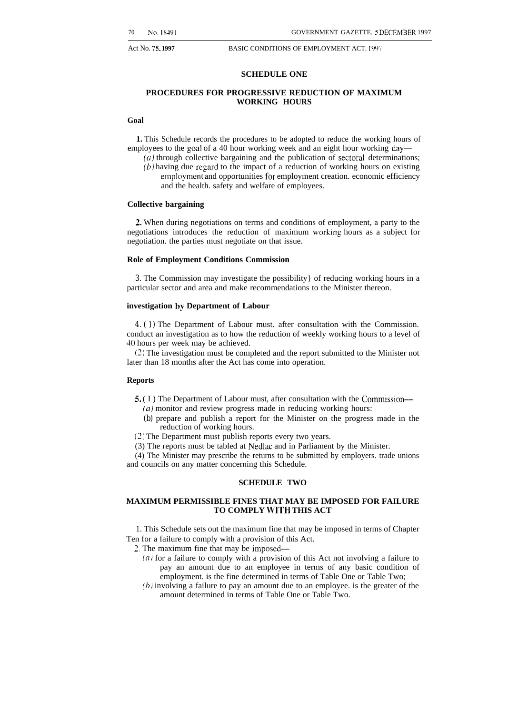### **SCHEDULE ONE**

### **PROCEDURES FOR PROGRESSIVE REDUCTION OF MAXIMUM WORKING HOURS**

### **Goal**

**1.** This Schedule records the procedures to be adopted to reduce the working hours of employees to the goal of a 40 hour working week and an eight hour working day—

(a) through collective bargaining and the publication of sectoral determinations;  $(b)$  having due regard to the impact of a reduction of working hours on existing employment and opportunities for employment creation. economic efficiency and the health. safety and welfare of employees.

### **Collective bargaining**

2. When during negotiations on terms and conditions of employment, a party to the negotiations introduces the reduction of maximum working hours as a subject for negotiation. the parties must negotiate on that issue.

### **Role of Employment Conditions Commission**

*3.* The Commission may investigate the possibility} of reducing working hours in a particular sector and area and make recommendations to the Minister thereon.

### **investigation by Department of Labour**

*4. ( 1 )* The Department of Labour must. after consultation with the Commission. conduct an investigation as to how the reduction of weekly working hours to a level of 40 hours per week may be achieved.

(2) The investigation must be completed and the report submitted to the Minister not later than 18 months after the Act has come into operation.

### **Reports**

- 5. ( I ) The Department of Labour must, after consultation with the Commission— (a) monitor and review progress made in reducing working hours:
	- *(b)* prepare and publish a report for the Minister on the progress made in the reduction of working hours.
- (2) The Department must publish reports every two years.
- (3) The reports must be tabled at Nedlac and in Parliament by the Minister.

(4) The Minister may prescribe the returns to be submitted by employers. trade unions and councils on any matter concerning this Schedule.

### **SCHEDULE TWO**

### **MAXIMUM PERMISSIBLE FINES THAT MAY BE IMPOSED FOR FAILURE TO COMPLY WITH THIS ACT**

1. This Schedule sets out the maximum fine that may be imposed in terms of Chapter Ten for a failure to comply with a provision of this Act.

2, The maximum fine that may be imposed—

- (d) for a failure to comply with a provision of this Act not involving a failure to pay an amount due to an employee in terms of any basic condition of employment. is the fine determined in terms of Table One or Table Two;
- (b) involving a failure to pay an amount due to an employee. is the greater of the amount determined in terms of Table One or Table Two.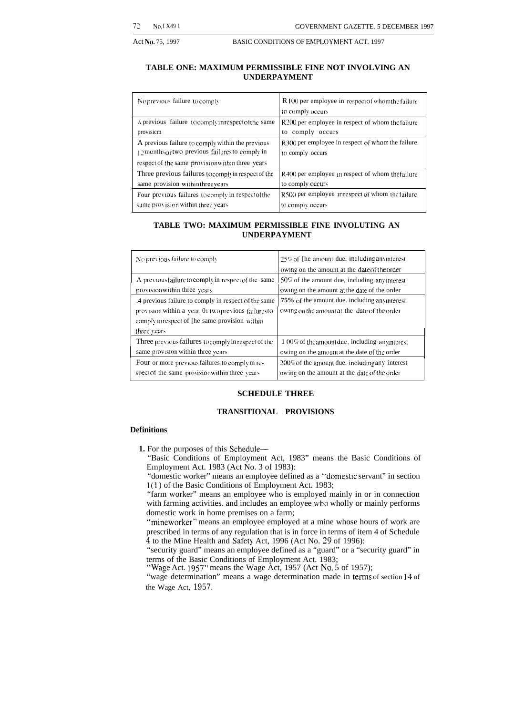### **TABLE ONE: MAXIMUM PERMISSIBLE FINE NOT INVOLVING AN UNDERPAYMENT**

| No previous failure to comply                                                                                                                           | R 100 per employee in respect of whom the failure<br>to comply occurs |  |
|---------------------------------------------------------------------------------------------------------------------------------------------------------|-----------------------------------------------------------------------|--|
| A previous failure to comply in respect of the same                                                                                                     | R200 per employee in respect of whom the failure                      |  |
| provisicm                                                                                                                                               | to comply occurs                                                      |  |
| A previous failure to comply within the previous<br>12 months or two previous failures to comply in<br>respect of the same provision within three years | R300 per employee in respect of whom the failure<br>to comply occurs  |  |
| Three previous failures to comply in respect of the                                                                                                     | R400 per employee in respect of whom the failure                      |  |
| same provision within three vears                                                                                                                       | to comply occurs                                                      |  |
| Four previous failures to comply in respect of the                                                                                                      | R500 per employee in respect of whom the failure                      |  |
| same provision within three years                                                                                                                       | to comply occurs                                                      |  |

### **TABLE TWO: MAXIMUM PERMISSIBLE FINE INVOLUTING AN UNDERPAYMENT**

| No previous failure to comply                                                                                                                                                | $25\%$ of The amount due, including any interest<br>owing on the amount at the date of the order |  |
|------------------------------------------------------------------------------------------------------------------------------------------------------------------------------|--------------------------------------------------------------------------------------------------|--|
| A previous failure to comply in respect of the same                                                                                                                          | $150\%$ of the amount due, including any interest                                                |  |
| provision within three years                                                                                                                                                 | owing on the amount at the date of the order                                                     |  |
| .4 previous failure to comply in respect of the same<br>provision within a vear, 01 two previous failures to<br>comply intespect of the same provision within<br>three years | 75% of the amount due, including anymerest<br>owing on the amount at the date of the order       |  |
| Three previous failures to comply in respect of the                                                                                                                          | $1.00\%$ of the amount due, including anymerest                                                  |  |
| same provision within three vears                                                                                                                                            | owing on the amount at the date of the order                                                     |  |
| Four or more previous failures to comply m re-                                                                                                                               | $200\%$ of the amount due, including any interest                                                |  |
| spectof the same provision within three vears                                                                                                                                | owing on the amount at the date of the order                                                     |  |

### **SCHEDULE THREE**

### **TRANSITIONAL PROVISIONS**

### **Definitions**

**1.** For the purposes of this Schedule—

"Basic Conditions of Employment Act, 1983" means the Basic Conditions of Employment Act. 1983 (Act No. 3 of 1983):

"domestic worker" means an employee defined as a '"domestic servant" in section 1(1 ) of the Basic Conditions of Employment Act. 1983;

"farm worker" means an employee who is employed mainly in or in connection with farming activities. and includes an employee uho wholly or mainly performs domestic work in home premises on a farm;

"mineworker" means an employee employed at a mine whose hours of work are prescribed in terms of any regulation that is in force in terms of item 4 of Schedule *4* to the Mine Health and Safety Act, 1996 (Act No. 29 of 1996):

"security guard" means an employee defined as a "guard" or a "security guard" in terms of the Basic Conditions of Employment Act. 1983;

"Wage Act. 1957" means the Wage Act, 1957 (Act No. 5 of 1957);

"wage determination" means a wage determination made in terms of section 14 of the Wage Act, *1957.*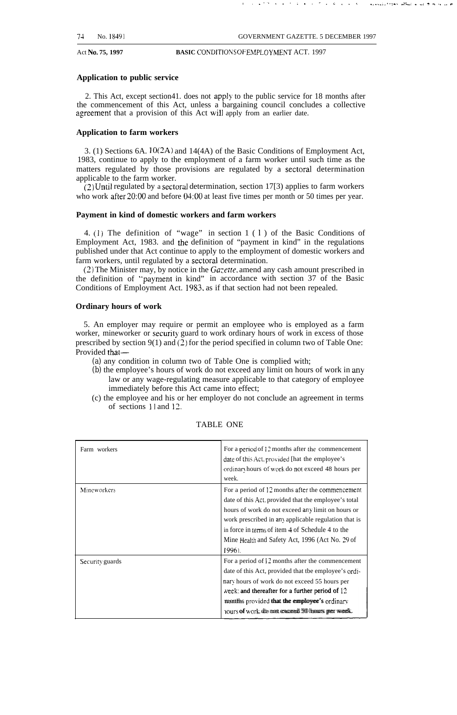المالك الأنباري المناطق الأنباري الأنباري المناطق

. . . . . . . . . . . . ".,-, . ,., . . ,. ., ,,

Act No. 75, 1997 **BASIC CONDITIONS OF EMPLOYMENT ACT.** 1997

### **Application to public service**

2. This Act, except section41. does not apply to the public service for 18 months after the commencement of this Act, unless a bargaining council concludes a collective agreement that a provision of this Act will apply from an earlier date.

### **Application to farm workers**

3. (1) Sections 6A. 10(2A) and 14(4A) of the Basic Conditions of Employment Act, 1983, continue to apply to the employment of a farm worker until such time as the matters regulated by those provisions are regulated by a sectoral determination applicable to the farm worker.

 $(2)$  Until regulated by a sectoral determination, section 17[3) applies to farm workers who work after 20:00 and before 04:00 at least five times per month or 50 times per year.

### **Payment in kind of domestic workers and farm workers**

4. (1) The definition of "wage" in section 1 ( 1 ) of the Basic Conditions of Employment Act, 1983. and the definition of "payment in kind" in the regulations published under that Act continue to apply to the employment of domestic workers and farm workers, until regulated by a sectoral determination.

(2) The Minister may, by notice in the *Ga:effe.* amend any cash amount prescribed in the definition of "paymenl in kind" in accordance with section 37 of the Basic Conditions of Employment Act. 1983. as if that section had not been repealed.

### **Ordinary hours of work**

5. An employer may require or permit an employee who is employed as a farm worker, mineworker or security guard to work ordinary hours of work in excess of those prescribed by section  $9(1)$  and  $(2)$  for the period specified in column two of Table One: Provided that—

- *(a)* any condition in column two of Table One is complied with;
- *(b)* the employee's hours of work do not exceed any limit on hours of work in any law or any wage-regulating measure applicable to that category of employee immediately before this Act came into effect;
- (c) the employee and his or her employer do not conclude an agreement in terms of sections 11 and 12.

| Farm workers    | For a period of 12 months after the commencement<br>date of this Act, provided [hat the employee's<br>ordinary hours of work do not exceed 48 hours per<br>week.                                                                                                                                                                       |
|-----------------|----------------------------------------------------------------------------------------------------------------------------------------------------------------------------------------------------------------------------------------------------------------------------------------------------------------------------------------|
| Mineworkers     | For a period of 12 months after the commencement<br>date of this Act. provided that the employee's total<br>hours of work do not exceed any limit on hours or<br>work prescribed in any applicable regulation that is<br>in force in terms of item 4 of Schedule 4 to the<br>Mine Health and Safety Act, 1996 (Act No. 29 of<br>1996). |
| Security guards | For a period of 12 months after the commencement<br>date of this Act, provided that the employee's ordi-<br>nary hours of work do not exceed 55 hours per<br>week: and thereafter for a further period of 12<br>months provided that the employee's ordinary<br>hours off work die mett exceeed 500 hours per week.                    |

### TABLE ONE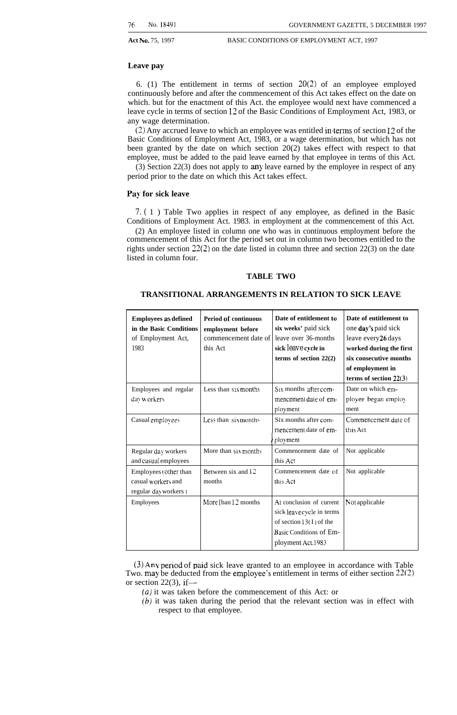### **Leave pay**

6. (1) The entitlement in terms of section  $20(2)$  of an employee employed continuously before and after the commencement of this Act takes effect on the date on which. but for the enactment of this Act. the employee would next have commenced a leave cycle in terms of section 12 of the Basic Conditions of Employment Act, 1983, or any wage determination.

(2) Any accrued leave to which an employee was entitled interms of section 12 of the Basic Conditions of Employment Act, 1983, or a wage determination, but which has not been granted by the date on which section 20(2) takes effect with respect to that employee, must be added to the paid leave earned by that employee in terms of this Act.

(3) Section 22(3) does not apply to any leave earned by the employee in respect of any period prior to the date on which this Act takes effect.

### **Pay for sick leave**

*7. (* 1 ) Table Two applies in respect of any employee, as defined in the Basic Conditions of Employment Act. 1983. in employment at the commencement of this Act.

(2) An employee listed in column one who was in continuous employment before the commencement of this Act for the period set out in column two becomes entitled to the rights under section 22(2) on the date listed in column three and section 22(3) on the date listed in column four.

### **TABLE TWO**

### **TRANSITIONAL ARRANGEMENTS IN RELATION TO SICK LEAVE**

| <b>Employees as defined</b><br>in the Basic Conditions<br>of Employment Act,<br>1983 | Period of continuous<br>employment before<br>commencement date of<br>this Act | Date of entitlement to<br>six weeks' paid sick<br>leave over 36-months<br>sick <i>leave</i> cycle in<br>terms of section $22(2)$    | Date of entitlement to<br>one day's paid sick<br>leave every 26 days<br>worked during the first<br>six consecutive months<br>of employment in<br>terms of section $22(3)$ |
|--------------------------------------------------------------------------------------|-------------------------------------------------------------------------------|-------------------------------------------------------------------------------------------------------------------------------------|---------------------------------------------------------------------------------------------------------------------------------------------------------------------------|
| Employees and regular<br>day workers                                                 | Less than $s_1x$ months                                                       | Six months after com-<br>mencement date of em-<br>ployment                                                                          | Date on which em-<br>plovee began employ<br>ment                                                                                                                          |
| Casual employees                                                                     | Less than six months                                                          | Six months after com-<br>mencement date of em-<br>plovment                                                                          | Commencement date of<br>this Act                                                                                                                                          |
| Regular day workers<br>and casual employees                                          | More than six months                                                          | Commencement date of<br>this Act                                                                                                    | Not applicable                                                                                                                                                            |
| Employees (other than<br>casual workers and<br>regular day workers                   | Between six and 12<br>months                                                  | Commencement date of<br>this Act                                                                                                    | Not applicable                                                                                                                                                            |
| Employees                                                                            | More [ban 12 months]                                                          | At conclusion of current<br>sick leave cycle in terms<br>of section $13(1)$ of the<br>Basic Conditions of Em-<br>ployment Act, 1983 | Not applicable                                                                                                                                                            |

(3) Any period of paid sick leave granted to an employee in accordance with Table Two. may be deducted from the employee's entitlement in terms of either section  $22(2)$ or section 22 $(3)$ , if—

- $(a)$  it was taken before the commencement of this Act: or
- (b) it was taken during the period that the relevant section was in effect with respect to that employee.